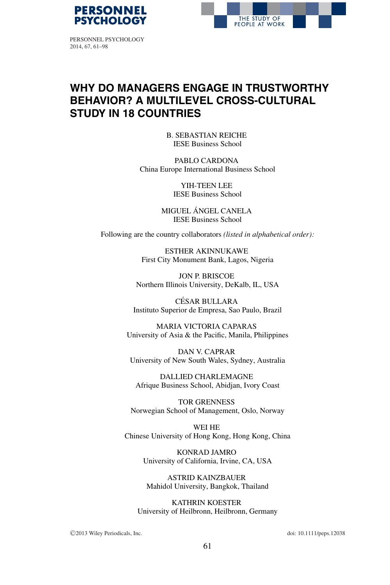



PERSONNEL PSYCHOLOGY 2014, 67, 61–98

# **WHY DO MANAGERS ENGAGE IN TRUSTWORTHY BEHAVIOR? A MULTILEVEL CROSS-CULTURAL STUDY IN 18 COUNTRIES**

B. SEBASTIAN REICHE IESE Business School

PABLO CARDONA China Europe International Business School

> YIH-TEEN LEE IESE Business School

MIGUEL ANGEL CANELA ´ IESE Business School

Following are the country collaborators *(listed in alphabetical order):*

ESTHER AKINNUKAWE First City Monument Bank, Lagos, Nigeria

JON P. BRISCOE Northern Illinois University, DeKalb, IL, USA

CÉSAR BULLARA Instituto Superior de Empresa, Sao Paulo, Brazil

MARIA VICTORIA CAPARAS University of Asia & the Pacific, Manila, Philippines

DAN V. CAPRAR University of New South Wales, Sydney, Australia

DALLIED CHARLEMAGNE Afrique Business School, Abidjan, Ivory Coast

TOR GRENNESS Norwegian School of Management, Oslo, Norway

WEI HE Chinese University of Hong Kong, Hong Kong, China

> KONRAD JAMRO University of California, Irvine, CA, USA

ASTRID KAINZBAUER Mahidol University, Bangkok, Thailand

KATHRIN KOESTER University of Heilbronn, Heilbronn, Germany

-C 2013 Wiley Periodicals, Inc. doi: 10.1111/peps.12038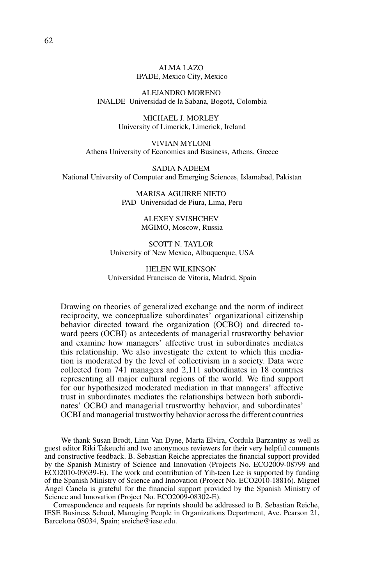ALMA LAZO IPADE, Mexico City, Mexico

ALEJANDRO MORENO INALDE–Universidad de la Sabana, Bogota, Colombia ´

> MICHAEL J. MORLEY University of Limerick, Limerick, Ireland

VIVIAN MYLONI Athens University of Economics and Business, Athens, Greece

SADIA NADEEM National University of Computer and Emerging Sciences, Islamabad, Pakistan

> MARISA AGUIRRE NIETO PAD–Universidad de Piura, Lima, Peru

#### ALEXEY SVISHCHEV MGIMO, Moscow, Russia

SCOTT N. TAYLOR University of New Mexico, Albuquerque, USA

HELEN WILKINSON Universidad Francisco de Vitoria, Madrid, Spain

Drawing on theories of generalized exchange and the norm of indirect reciprocity, we conceptualize subordinates' organizational citizenship behavior directed toward the organization (OCBO) and directed toward peers (OCBI) as antecedents of managerial trustworthy behavior and examine how managers' affective trust in subordinates mediates this relationship. We also investigate the extent to which this mediation is moderated by the level of collectivism in a society. Data were collected from 741 managers and 2,111 subordinates in 18 countries representing all major cultural regions of the world. We find support for our hypothesized moderated mediation in that managers' affective trust in subordinates mediates the relationships between both subordinates' OCBO and managerial trustworthy behavior, and subordinates' OCBI and managerial trustworthy behavior across the different countries

We thank Susan Brodt, Linn Van Dyne, Marta Elvira, Cordula Barzantny as well as guest editor Riki Takeuchi and two anonymous reviewers for their very helpful comments and constructive feedback. B. Sebastian Reiche appreciates the financial support provided by the Spanish Ministry of Science and Innovation (Projects No. ECO2009-08799 and ECO2010-09639-E). The work and contribution of Yih-teen Lee is supported by funding of the Spanish Ministry of Science and Innovation (Project No. ECO2010-18816). Miguel Angel Canela is grateful for the financial support provided by the Spanish Ministry of ´ Science and Innovation (Project No. ECO2009-08302-E).

Correspondence and requests for reprints should be addressed to B. Sebastian Reiche, IESE Business School, Managing People in Organizations Department, Ave. Pearson 21, Barcelona 08034, Spain; sreiche@iese.edu.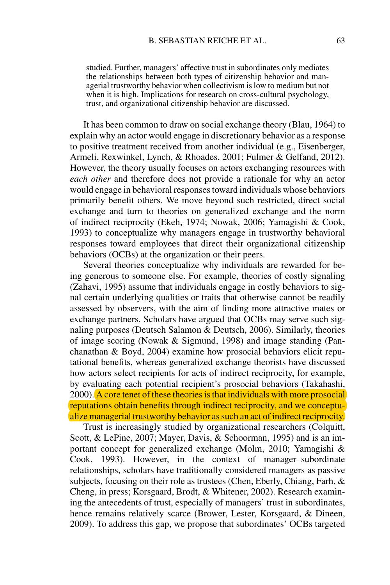studied. Further, managers' affective trust in subordinates only mediates the relationships between both types of citizenship behavior and managerial trustworthy behavior when collectivism is low to medium but not when it is high. Implications for research on cross-cultural psychology, trust, and organizational citizenship behavior are discussed.

It has been common to draw on social exchange theory (Blau, 1964) to explain why an actor would engage in discretionary behavior as a response to positive treatment received from another individual (e.g., Eisenberger, Armeli, Rexwinkel, Lynch, & Rhoades, 2001; Fulmer & Gelfand, 2012). However, the theory usually focuses on actors exchanging resources with *each other* and therefore does not provide a rationale for why an actor would engage in behavioral responses toward individuals whose behaviors primarily benefit others. We move beyond such restricted, direct social exchange and turn to theories on generalized exchange and the norm of indirect reciprocity (Ekeh, 1974; Nowak, 2006; Yamagishi & Cook, 1993) to conceptualize why managers engage in trustworthy behavioral responses toward employees that direct their organizational citizenship behaviors (OCBs) at the organization or their peers.

Several theories conceptualize why individuals are rewarded for being generous to someone else. For example, theories of costly signaling (Zahavi, 1995) assume that individuals engage in costly behaviors to signal certain underlying qualities or traits that otherwise cannot be readily assessed by observers, with the aim of finding more attractive mates or exchange partners. Scholars have argued that OCBs may serve such signaling purposes (Deutsch Salamon & Deutsch, 2006). Similarly, theories of image scoring (Nowak & Sigmund, 1998) and image standing (Panchanathan & Boyd, 2004) examine how prosocial behaviors elicit reputational benefits, whereas generalized exchange theorists have discussed how actors select recipients for acts of indirect reciprocity, for example, by evaluating each potential recipient's prosocial behaviors (Takahashi, 2000). A core tenet of these theories is that individuals with more prosocial reputations obtain benefits through indirect reciprocity, and we conceptualize managerial trustworthy behavior as such an act of indirect reciprocity.

Trust is increasingly studied by organizational researchers (Colquitt, Scott, & LePine, 2007; Mayer, Davis, & Schoorman, 1995) and is an important concept for generalized exchange (Molm, 2010; Yamagishi & Cook, 1993). However, in the context of manager–subordinate relationships, scholars have traditionally considered managers as passive subjects, focusing on their role as trustees (Chen, Eberly, Chiang, Farh, & Cheng, in press; Korsgaard, Brodt, & Whitener, 2002). Research examining the antecedents of trust, especially of managers' trust in subordinates, hence remains relatively scarce (Brower, Lester, Korsgaard, & Dineen, 2009). To address this gap, we propose that subordinates' OCBs targeted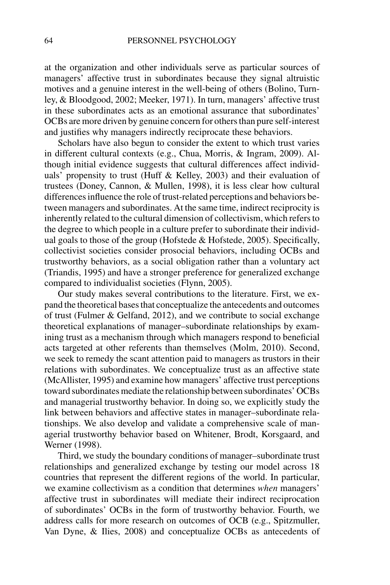at the organization and other individuals serve as particular sources of managers' affective trust in subordinates because they signal altruistic motives and a genuine interest in the well-being of others (Bolino, Turnley, & Bloodgood, 2002; Meeker, 1971). In turn, managers' affective trust in these subordinates acts as an emotional assurance that subordinates' OCBs are more driven by genuine concern for others than pure self-interest and justifies why managers indirectly reciprocate these behaviors.

Scholars have also begun to consider the extent to which trust varies in different cultural contexts (e.g., Chua, Morris, & Ingram, 2009). Although initial evidence suggests that cultural differences affect individuals' propensity to trust (Huff & Kelley, 2003) and their evaluation of trustees (Doney, Cannon, & Mullen, 1998), it is less clear how cultural differences influence the role of trust-related perceptions and behaviors between managers and subordinates. At the same time, indirect reciprocity is inherently related to the cultural dimension of collectivism, which refers to the degree to which people in a culture prefer to subordinate their individual goals to those of the group (Hofstede  $&$  Hofstede, 2005). Specifically, collectivist societies consider prosocial behaviors, including OCBs and trustworthy behaviors, as a social obligation rather than a voluntary act (Triandis, 1995) and have a stronger preference for generalized exchange compared to individualist societies (Flynn, 2005).

Our study makes several contributions to the literature. First, we expand the theoretical bases that conceptualize the antecedents and outcomes of trust (Fulmer & Gelfand, 2012), and we contribute to social exchange theoretical explanations of manager–subordinate relationships by examining trust as a mechanism through which managers respond to beneficial acts targeted at other referents than themselves (Molm, 2010). Second, we seek to remedy the scant attention paid to managers as trustors in their relations with subordinates. We conceptualize trust as an affective state (McAllister, 1995) and examine how managers' affective trust perceptions toward subordinates mediate the relationship between subordinates' OCBs and managerial trustworthy behavior. In doing so, we explicitly study the link between behaviors and affective states in manager–subordinate relationships. We also develop and validate a comprehensive scale of managerial trustworthy behavior based on Whitener, Brodt, Korsgaard, and Werner (1998).

Third, we study the boundary conditions of manager–subordinate trust relationships and generalized exchange by testing our model across 18 countries that represent the different regions of the world. In particular, we examine collectivism as a condition that determines *when* managers' affective trust in subordinates will mediate their indirect reciprocation of subordinates' OCBs in the form of trustworthy behavior. Fourth, we address calls for more research on outcomes of OCB (e.g., Spitzmuller, Van Dyne, & Ilies, 2008) and conceptualize OCBs as antecedents of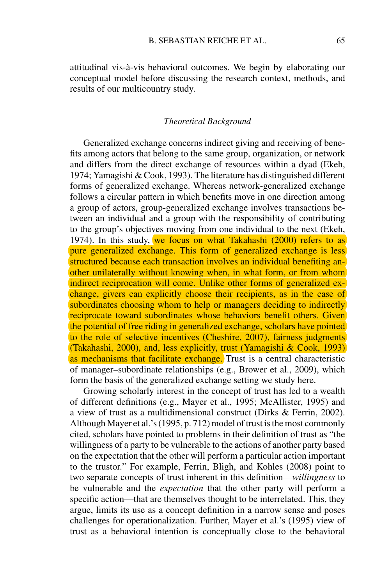attitudinal vis-à-vis behavioral outcomes. We begin by elaborating our conceptual model before discussing the research context, methods, and results of our multicountry study.

#### *Theoretical Background*

Generalized exchange concerns indirect giving and receiving of benefits among actors that belong to the same group, organization, or network and differs from the direct exchange of resources within a dyad (Ekeh, 1974; Yamagishi & Cook, 1993). The literature has distinguished different forms of generalized exchange. Whereas network-generalized exchange follows a circular pattern in which benefits move in one direction among a group of actors, group-generalized exchange involves transactions between an individual and a group with the responsibility of contributing to the group's objectives moving from one individual to the next (Ekeh, 1974). In this study, we focus on what Takahashi (2000) refers to as pure generalized exchange. This form of generalized exchange is less structured because each transaction involves an individual benefiting another unilaterally without knowing when, in what form, or from whom indirect reciprocation will come. Unlike other forms of generalized exchange, givers can explicitly choose their recipients, as in the case of subordinates choosing whom to help or managers deciding to indirectly reciprocate toward subordinates whose behaviors benefit others. Given the potential of free riding in generalized exchange, scholars have pointed to the role of selective incentives (Cheshire, 2007), fairness judgments (Takahashi, 2000), and, less explicitly, trust (Yamagishi & Cook, 1993) as mechanisms that facilitate exchange. Trust is a central characteristic of manager–subordinate relationships (e.g., Brower et al., 2009), which form the basis of the generalized exchange setting we study here.

Growing scholarly interest in the concept of trust has led to a wealth of different definitions (e.g., Mayer et al., 1995; McAllister, 1995) and a view of trust as a multidimensional construct (Dirks & Ferrin, 2002). Although Mayer et al.'s (1995, p. 712) model of trust is the most commonly cited, scholars have pointed to problems in their definition of trust as "the willingness of a party to be vulnerable to the actions of another party based on the expectation that the other will perform a particular action important to the trustor." For example, Ferrin, Bligh, and Kohles (2008) point to two separate concepts of trust inherent in this definition—*willingness* to be vulnerable and the *expectation* that the other party will perform a specific action—that are themselves thought to be interrelated. This, they argue, limits its use as a concept definition in a narrow sense and poses challenges for operationalization. Further, Mayer et al.'s (1995) view of trust as a behavioral intention is conceptually close to the behavioral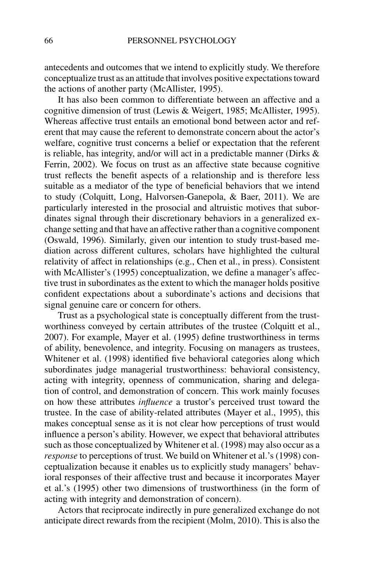antecedents and outcomes that we intend to explicitly study. We therefore conceptualize trust as an attitude that involves positive expectations toward the actions of another party (McAllister, 1995).

It has also been common to differentiate between an affective and a cognitive dimension of trust (Lewis & Weigert, 1985; McAllister, 1995). Whereas affective trust entails an emotional bond between actor and referent that may cause the referent to demonstrate concern about the actor's welfare, cognitive trust concerns a belief or expectation that the referent is reliable, has integrity, and/or will act in a predictable manner (Dirks & Ferrin, 2002). We focus on trust as an affective state because cognitive trust reflects the benefit aspects of a relationship and is therefore less suitable as a mediator of the type of beneficial behaviors that we intend to study (Colquitt, Long, Halvorsen-Ganepola, & Baer, 2011). We are particularly interested in the prosocial and altruistic motives that subordinates signal through their discretionary behaviors in a generalized exchange setting and that have an affective rather than a cognitive component (Oswald, 1996). Similarly, given our intention to study trust-based mediation across different cultures, scholars have highlighted the cultural relativity of affect in relationships (e.g., Chen et al., in press). Consistent with McAllister's (1995) conceptualization, we define a manager's affective trust in subordinates as the extent to which the manager holds positive confident expectations about a subordinate's actions and decisions that signal genuine care or concern for others.

Trust as a psychological state is conceptually different from the trustworthiness conveyed by certain attributes of the trustee (Colquitt et al., 2007). For example, Mayer et al. (1995) define trustworthiness in terms of ability, benevolence, and integrity. Focusing on managers as trustees, Whitener et al. (1998) identified five behavioral categories along which subordinates judge managerial trustworthiness: behavioral consistency, acting with integrity, openness of communication, sharing and delegation of control, and demonstration of concern. This work mainly focuses on how these attributes *influence* a trustor's perceived trust toward the trustee. In the case of ability-related attributes (Mayer et al., 1995), this makes conceptual sense as it is not clear how perceptions of trust would influence a person's ability. However, we expect that behavioral attributes such as those conceptualized by Whitener et al. (1998) may also occur as a *response* to perceptions of trust. We build on Whitener et al.'s (1998) conceptualization because it enables us to explicitly study managers' behavioral responses of their affective trust and because it incorporates Mayer et al.'s (1995) other two dimensions of trustworthiness (in the form of acting with integrity and demonstration of concern).

Actors that reciprocate indirectly in pure generalized exchange do not anticipate direct rewards from the recipient (Molm, 2010). This is also the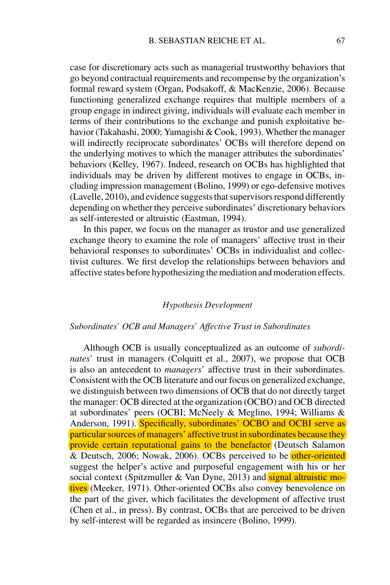case for discretionary acts such as managerial trustworthy behaviors that go beyond contractual requirements and recompense by the organization's formal reward system (Organ, Podsakoff, & MacKenzie, 2006). Because functioning generalized exchange requires that multiple members of a group engage in indirect giving, individuals will evaluate each member in terms of their contributions to the exchange and punish exploitative behavior (Takahashi, 2000; Yamagishi & Cook, 1993). Whether the manager will indirectly reciprocate subordinates' OCBs will therefore depend on the underlying motives to which the manager attributes the subordinates' behaviors (Kelley, 1967). Indeed, research on OCBs has highlighted that individuals may be driven by different motives to engage in OCBs, including impression management (Bolino, 1999) or ego-defensive motives (Lavelle, 2010), and evidence suggests that supervisors respond differently depending on whether they perceive subordinates' discretionary behaviors as self-interested or altruistic (Eastman, 1994).

In this paper, we focus on the manager as trustor and use generalized exchange theory to examine the role of managers' affective trust in their behavioral responses to subordinates' OCBs in individualist and collectivist cultures. We first develop the relationships between behaviors and affective states before hypothesizing the mediation and moderation effects.

#### *Hypothesis Development*

#### *Subordinates' OCB and Managers' Affective Trust in Subordinates*

Although OCB is usually conceptualized as an outcome of *subordinates'* trust in managers (Colquitt et al., 2007), we propose that OCB is also an antecedent to *managers'* affective trust in their subordinates. Consistent with the OCB literature and our focus on generalized exchange, we distinguish between two dimensions of OCB that do not directly target the manager: OCB directed at the organization (OCBO) and OCB directed at subordinates' peers (OCBI; McNeely & Meglino, 1994; Williams & Anderson, 1991). Specifically, subordinates' OCBO and OCBI serve as particular sources of managers' affective trust in subordinates because they provide certain reputational gains to the benefactor (Deutsch Salamon & Deutsch, 2006; Nowak, 2006). OCBs perceived to be other-oriented suggest the helper's active and purposeful engagement with his or her social context (Spitzmuller & Van Dyne, 2013) and signal altruistic motives (Meeker, 1971). Other-oriented OCBs also convey benevolence on the part of the giver, which facilitates the development of affective trust (Chen et al., in press). By contrast, OCBs that are perceived to be driven by self-interest will be regarded as insincere (Bolino, 1999).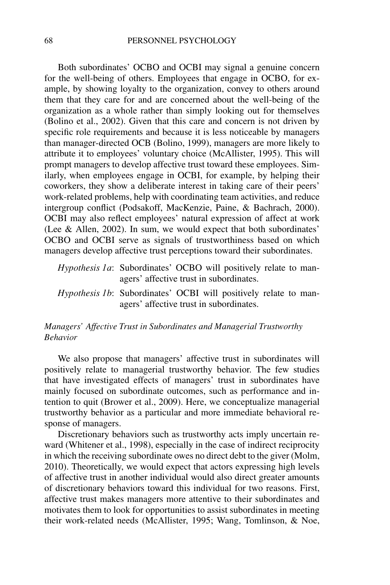Both subordinates' OCBO and OCBI may signal a genuine concern for the well-being of others. Employees that engage in OCBO, for example, by showing loyalty to the organization, convey to others around them that they care for and are concerned about the well-being of the organization as a whole rather than simply looking out for themselves (Bolino et al., 2002). Given that this care and concern is not driven by specific role requirements and because it is less noticeable by managers than manager-directed OCB (Bolino, 1999), managers are more likely to attribute it to employees' voluntary choice (McAllister, 1995). This will prompt managers to develop affective trust toward these employees. Similarly, when employees engage in OCBI, for example, by helping their coworkers, they show a deliberate interest in taking care of their peers' work-related problems, help with coordinating team activities, and reduce intergroup conflict (Podsakoff, MacKenzie, Paine, & Bachrach, 2000). OCBI may also reflect employees' natural expression of affect at work (Lee & Allen, 2002). In sum, we would expect that both subordinates' OCBO and OCBI serve as signals of trustworthiness based on which managers develop affective trust perceptions toward their subordinates.

| <i>Hypothesis 1a:</i> Subordinates' OCBO will positively relate to man-<br>agers' affective trust in subordinates. |
|--------------------------------------------------------------------------------------------------------------------|
| <i>Hypothesis 1b:</i> Subordinates' OCBI will positively relate to man-<br>agers' affective trust in subordinates. |

# *Managers' Affective Trust in Subordinates and Managerial Trustworthy Behavior*

We also propose that managers' affective trust in subordinates will positively relate to managerial trustworthy behavior. The few studies that have investigated effects of managers' trust in subordinates have mainly focused on subordinate outcomes, such as performance and intention to quit (Brower et al., 2009). Here, we conceptualize managerial trustworthy behavior as a particular and more immediate behavioral response of managers.

Discretionary behaviors such as trustworthy acts imply uncertain reward (Whitener et al., 1998), especially in the case of indirect reciprocity in which the receiving subordinate owes no direct debt to the giver (Molm, 2010). Theoretically, we would expect that actors expressing high levels of affective trust in another individual would also direct greater amounts of discretionary behaviors toward this individual for two reasons. First, affective trust makes managers more attentive to their subordinates and motivates them to look for opportunities to assist subordinates in meeting their work-related needs (McAllister, 1995; Wang, Tomlinson, & Noe,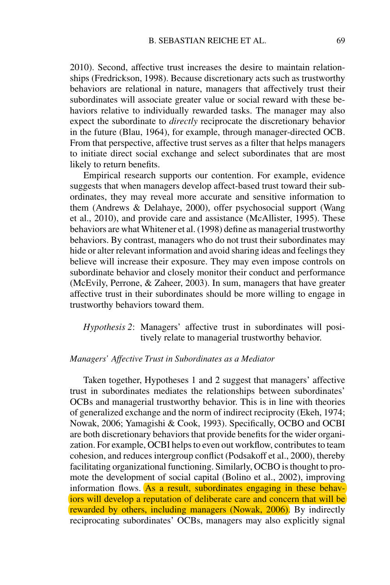2010). Second, affective trust increases the desire to maintain relationships (Fredrickson, 1998). Because discretionary acts such as trustworthy behaviors are relational in nature, managers that affectively trust their subordinates will associate greater value or social reward with these behaviors relative to individually rewarded tasks. The manager may also expect the subordinate to *directly* reciprocate the discretionary behavior in the future (Blau, 1964), for example, through manager-directed OCB. From that perspective, affective trust serves as a filter that helps managers to initiate direct social exchange and select subordinates that are most likely to return benefits.

Empirical research supports our contention. For example, evidence suggests that when managers develop affect-based trust toward their subordinates, they may reveal more accurate and sensitive information to them (Andrews & Delahaye, 2000), offer psychosocial support (Wang et al., 2010), and provide care and assistance (McAllister, 1995). These behaviors are what Whitener et al. (1998) define as managerial trustworthy behaviors. By contrast, managers who do not trust their subordinates may hide or alter relevant information and avoid sharing ideas and feelings they believe will increase their exposure. They may even impose controls on subordinate behavior and closely monitor their conduct and performance (McEvily, Perrone, & Zaheer, 2003). In sum, managers that have greater affective trust in their subordinates should be more willing to engage in trustworthy behaviors toward them.

*Hypothesis 2*: Managers' affective trust in subordinates will positively relate to managerial trustworthy behavior.

#### *Managers' Affective Trust in Subordinates as a Mediator*

Taken together, Hypotheses 1 and 2 suggest that managers' affective trust in subordinates mediates the relationships between subordinates' OCBs and managerial trustworthy behavior. This is in line with theories of generalized exchange and the norm of indirect reciprocity (Ekeh, 1974; Nowak, 2006; Yamagishi & Cook, 1993). Specifically, OCBO and OCBI are both discretionary behaviors that provide benefits for the wider organization. For example, OCBI helps to even out workflow, contributes to team cohesion, and reduces intergroup conflict (Podsakoff et al., 2000), thereby facilitating organizational functioning. Similarly, OCBO is thought to promote the development of social capital (Bolino et al., 2002), improving information flows. As a result, subordinates engaging in these behaviors will develop a reputation of deliberate care and concern that will be rewarded by others, including managers (Nowak, 2006). By indirectly reciprocating subordinates' OCBs, managers may also explicitly signal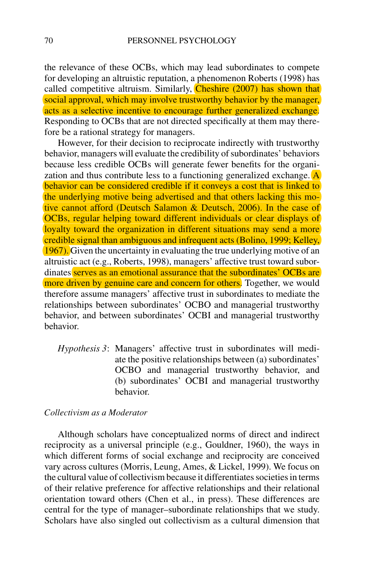the relevance of these OCBs, which may lead subordinates to compete for developing an altruistic reputation, a phenomenon Roberts (1998) has called competitive altruism. Similarly, Cheshire (2007) has shown that social approval, which may involve trustworthy behavior by the manager, acts as a selective incentive to encourage further generalized exchange. Responding to OCBs that are not directed specifically at them may therefore be a rational strategy for managers.

However, for their decision to reciprocate indirectly with trustworthy behavior, managers will evaluate the credibility of subordinates' behaviors because less credible OCBs will generate fewer benefits for the organization and thus contribute less to a functioning generalized exchange.  $\overline{A}$ behavior can be considered credible if it conveys a cost that is linked to the underlying motive being advertised and that others lacking this motive cannot afford (Deutsch Salamon & Deutsch, 2006). In the case of OCBs, regular helping toward different individuals or clear displays of loyalty toward the organization in different situations may send a more credible signal than ambiguous and infrequent acts (Bolino, 1999; Kelley, 1967). Given the uncertainty in evaluating the true underlying motive of an altruistic act (e.g., Roberts, 1998), managers' affective trust toward subordinates serves as an emotional assurance that the subordinates' OCBs are more driven by genuine care and concern for others. Together, we would therefore assume managers' affective trust in subordinates to mediate the relationships between subordinates' OCBO and managerial trustworthy behavior, and between subordinates' OCBI and managerial trustworthy behavior.

*Hypothesis 3*: Managers' affective trust in subordinates will mediate the positive relationships between (a) subordinates' OCBO and managerial trustworthy behavior, and (b) subordinates' OCBI and managerial trustworthy behavior.

#### *Collectivism as a Moderator*

Although scholars have conceptualized norms of direct and indirect reciprocity as a universal principle (e.g., Gouldner, 1960), the ways in which different forms of social exchange and reciprocity are conceived vary across cultures (Morris, Leung, Ames, & Lickel, 1999). We focus on the cultural value of collectivism because it differentiates societies in terms of their relative preference for affective relationships and their relational orientation toward others (Chen et al., in press). These differences are central for the type of manager–subordinate relationships that we study. Scholars have also singled out collectivism as a cultural dimension that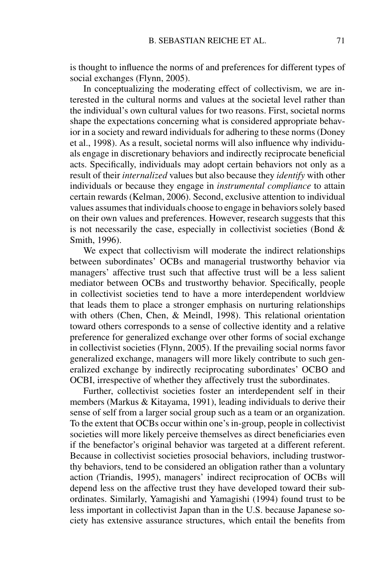is thought to influence the norms of and preferences for different types of social exchanges (Flynn, 2005).

In conceptualizing the moderating effect of collectivism, we are interested in the cultural norms and values at the societal level rather than the individual's own cultural values for two reasons. First, societal norms shape the expectations concerning what is considered appropriate behavior in a society and reward individuals for adhering to these norms (Doney et al., 1998). As a result, societal norms will also influence why individuals engage in discretionary behaviors and indirectly reciprocate beneficial acts. Specifically, individuals may adopt certain behaviors not only as a result of their *internalized* values but also because they *identify* with other individuals or because they engage in *instrumental compliance* to attain certain rewards (Kelman, 2006). Second, exclusive attention to individual values assumes that individuals choose to engage in behaviors solely based on their own values and preferences. However, research suggests that this is not necessarily the case, especially in collectivist societies (Bond  $\&$ Smith, 1996).

We expect that collectivism will moderate the indirect relationships between subordinates' OCBs and managerial trustworthy behavior via managers' affective trust such that affective trust will be a less salient mediator between OCBs and trustworthy behavior. Specifically, people in collectivist societies tend to have a more interdependent worldview that leads them to place a stronger emphasis on nurturing relationships with others (Chen, Chen, & Meindl, 1998). This relational orientation toward others corresponds to a sense of collective identity and a relative preference for generalized exchange over other forms of social exchange in collectivist societies (Flynn, 2005). If the prevailing social norms favor generalized exchange, managers will more likely contribute to such generalized exchange by indirectly reciprocating subordinates' OCBO and OCBI, irrespective of whether they affectively trust the subordinates.

Further, collectivist societies foster an interdependent self in their members (Markus & Kitayama, 1991), leading individuals to derive their sense of self from a larger social group such as a team or an organization. To the extent that OCBs occur within one's in-group, people in collectivist societies will more likely perceive themselves as direct beneficiaries even if the benefactor's original behavior was targeted at a different referent. Because in collectivist societies prosocial behaviors, including trustworthy behaviors, tend to be considered an obligation rather than a voluntary action (Triandis, 1995), managers' indirect reciprocation of OCBs will depend less on the affective trust they have developed toward their subordinates. Similarly, Yamagishi and Yamagishi (1994) found trust to be less important in collectivist Japan than in the U.S. because Japanese society has extensive assurance structures, which entail the benefits from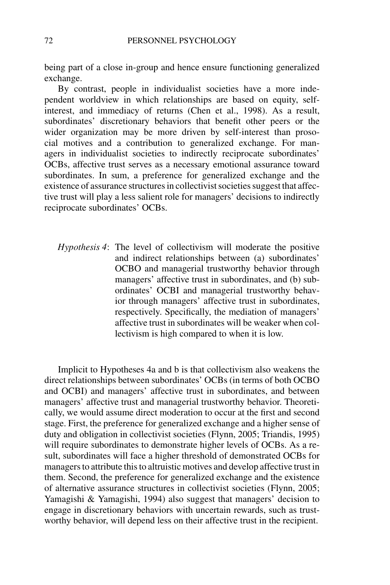being part of a close in-group and hence ensure functioning generalized exchange.

By contrast, people in individualist societies have a more independent worldview in which relationships are based on equity, selfinterest, and immediacy of returns (Chen et al., 1998). As a result, subordinates' discretionary behaviors that benefit other peers or the wider organization may be more driven by self-interest than prosocial motives and a contribution to generalized exchange. For managers in individualist societies to indirectly reciprocate subordinates' OCBs, affective trust serves as a necessary emotional assurance toward subordinates. In sum, a preference for generalized exchange and the existence of assurance structures in collectivist societies suggest that affective trust will play a less salient role for managers' decisions to indirectly reciprocate subordinates' OCBs.

*Hypothesis 4*: The level of collectivism will moderate the positive and indirect relationships between (a) subordinates' OCBO and managerial trustworthy behavior through managers' affective trust in subordinates, and (b) subordinates' OCBI and managerial trustworthy behavior through managers' affective trust in subordinates, respectively. Specifically, the mediation of managers' affective trust in subordinates will be weaker when collectivism is high compared to when it is low.

Implicit to Hypotheses 4a and b is that collectivism also weakens the direct relationships between subordinates' OCBs (in terms of both OCBO and OCBI) and managers' affective trust in subordinates, and between managers' affective trust and managerial trustworthy behavior. Theoretically, we would assume direct moderation to occur at the first and second stage. First, the preference for generalized exchange and a higher sense of duty and obligation in collectivist societies (Flynn, 2005; Triandis, 1995) will require subordinates to demonstrate higher levels of OCBs. As a result, subordinates will face a higher threshold of demonstrated OCBs for managers to attribute this to altruistic motives and develop affective trust in them. Second, the preference for generalized exchange and the existence of alternative assurance structures in collectivist societies (Flynn, 2005; Yamagishi & Yamagishi, 1994) also suggest that managers' decision to engage in discretionary behaviors with uncertain rewards, such as trustworthy behavior, will depend less on their affective trust in the recipient.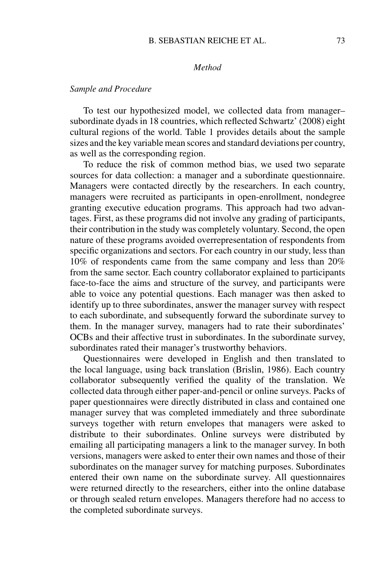#### *Method*

#### *Sample and Procedure*

To test our hypothesized model, we collected data from manager– subordinate dyads in 18 countries, which reflected Schwartz' (2008) eight cultural regions of the world. Table 1 provides details about the sample sizes and the key variable mean scores and standard deviations per country, as well as the corresponding region.

To reduce the risk of common method bias, we used two separate sources for data collection: a manager and a subordinate questionnaire. Managers were contacted directly by the researchers. In each country, managers were recruited as participants in open-enrollment, nondegree granting executive education programs. This approach had two advantages. First, as these programs did not involve any grading of participants, their contribution in the study was completely voluntary. Second, the open nature of these programs avoided overrepresentation of respondents from specific organizations and sectors. For each country in our study, less than 10% of respondents came from the same company and less than 20% from the same sector. Each country collaborator explained to participants face-to-face the aims and structure of the survey, and participants were able to voice any potential questions. Each manager was then asked to identify up to three subordinates, answer the manager survey with respect to each subordinate, and subsequently forward the subordinate survey to them. In the manager survey, managers had to rate their subordinates' OCBs and their affective trust in subordinates. In the subordinate survey, subordinates rated their manager's trustworthy behaviors.

Questionnaires were developed in English and then translated to the local language, using back translation (Brislin, 1986). Each country collaborator subsequently verified the quality of the translation. We collected data through either paper-and-pencil or online surveys. Packs of paper questionnaires were directly distributed in class and contained one manager survey that was completed immediately and three subordinate surveys together with return envelopes that managers were asked to distribute to their subordinates. Online surveys were distributed by emailing all participating managers a link to the manager survey. In both versions, managers were asked to enter their own names and those of their subordinates on the manager survey for matching purposes. Subordinates entered their own name on the subordinate survey. All questionnaires were returned directly to the researchers, either into the online database or through sealed return envelopes. Managers therefore had no access to the completed subordinate surveys.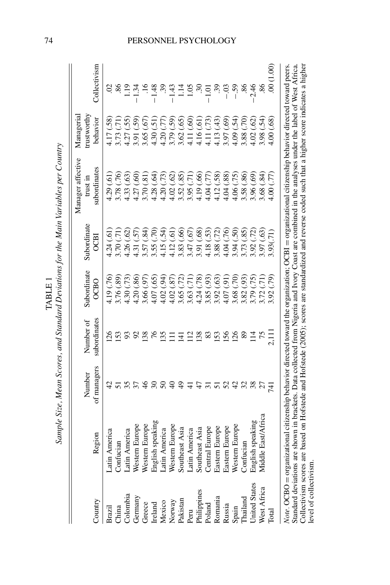|              | s<br>c               |
|--------------|----------------------|
|              |                      |
|              |                      |
|              | $\ddot{\phantom{a}}$ |
|              |                      |
|              |                      |
|              |                      |
|              |                      |
| <b>Liter</b> |                      |
|              |                      |
|              |                      |
|              | $\sim$ $\sim$ $\sim$ |
|              |                      |
|              |                      |
|              |                      |
|              |                      |
|              | i<br>!               |
|              |                      |
|              |                      |
|              |                      |

Country

|                      |                    |                       |                           |                     |                    | Manager affective                  | Managerial              |               |
|----------------------|--------------------|-----------------------|---------------------------|---------------------|--------------------|------------------------------------|-------------------------|---------------|
| Country              | Region             | of managers<br>Number | subordinates<br>Number of | Subordinate<br>OСBO | Subordinate<br>OCH | subordinates<br>trust in           | trustworthy<br>behavior | Collectivism  |
| Brazil               | Latin America      |                       | 26                        | 4.19 (.76)          | 4.24(.61)          | 4.29 (.61)                         | 4.17(0.58)              |               |
| China                | Confucian          |                       | 53                        | 3.76 (.89)          | 3.70 (.71)         | 3.78 (.76)                         | 3.73 (.71               |               |
| Colombia             | Latin America      | 35                    | S                         | 4.30(.73)           | 4.26(.62)          | 4.33(0.63)                         | 4.27(.55)               | $\frac{1}{2}$ |
| Germany              | Western Europe     | 57                    | 55                        | 4.20 (.86)          | 1.31(.57)          | $\widetilde{\mathrm{SO}}$<br>4.27( | 8.91 (.59)              | $-1.34$       |
| Greece               | Western Europe     |                       | $\frac{38}{5}$            | 3.66 (.97)          | 1.57 (.84)         | $\left(18\right)$<br>3.70          | 3.65 (.67               | $\frac{6}{1}$ |
| Ireland              | English speaking   |                       | 76                        | 4.07(65)            | 1.55 (.70)         | 4.28(.64)                          | 1.30(.51)               | $-1.48$       |
| Mexico               | Latin America      | ຂ                     | 135                       | 4.02 (.94)          | 4.15(.54)          | (73)<br>4.20(                      | 1.20 (.77               |               |
| Norway               | Western Europe     | $\Theta$              | Ξ                         | 4.02(.87)           | 4.12(61)           | 4.02(62)                           | 8.79 (.59)              | $-1.43$       |
| Pakistan             | Southeast Asia     | $\overline{6}$        | $\overline{141}$          | 3.65 (.72)          | 3.83 (.66)         | (35)<br>3.52(                      | 3.62(.65)               | 1.14          |
| Peru                 | Latin America      |                       | 112                       | 3.63 (.71           | .47(.67)           | (71)<br>3.95(                      | 4.11(60)                | 1.05          |
| Philippines          | Southeast Asia     | $\ddot{t}$            | 138                       | 4.24 (.78)          | 3.91 (.68)         | 4.19 (.66)                         | 1.16 (.61               | રું           |
| Poland               | Central Europe     |                       | 83                        | 3.85 (.93)          | 4.18(.53)          | (77)<br>4.04(                      | 4.11(.73)               | $-1.01$       |
| Romania              | Eastern Europe     | 51                    | <b>153</b>                | 3.92(.63)           | 3.88(.72)          | 4.12(.58)                          | 4.13(43)                | 39            |
| Russia               | Eastern Europe     |                       | 56                        | 4.07 (.91           | 4.04(.76)          | 4.04(.88)                          | $(69)$ (59)             | $-0.3$        |
| Spain                | Western Europe     | 52                    | $\overline{26}$           | 3.68 (.70)          | 3.94 (.50)         | (75)<br>4.06(                      | 4.09(.54)               | $-59$         |
| Thailand             | Confucian          | $\mathfrak{L}$        | 89                        | 3.82 (.93)          | 0.73(0.85)         | (.86)<br>3.58(                     | 3.88 (.70)              | 86.           |
| <b>United States</b> | English speaking   | 38                    | $\Xi$                     | 3.79 (.75)          | 92(.72)            | 8.96 (.69)                         | 4.02(.62)               | $-2.46$       |
| West Africa          | Middle East/Africa |                       |                           | 3.72 (.71           | .97(63)            | 3.68 (.84)                         | 3.98 (.54)              | 86            |
| Total                |                    | 141                   |                           | 3.92 (.79)          | 3.93(.71)          | (77)<br>4.00(                      | 4.00(.68)               | 00(1.00)      |

Collectivism scores are based on Hofstede and Hofstede (2005); scores are standardized and reverse coded such that a higher score indicates a higher

level of collectivism.

# 74 PERSONNEL PSYCHOLOGY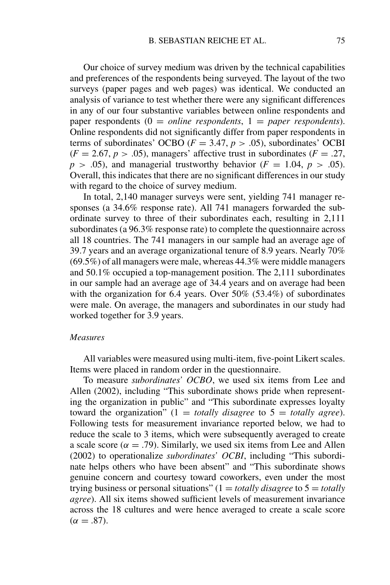Our choice of survey medium was driven by the technical capabilities and preferences of the respondents being surveyed. The layout of the two surveys (paper pages and web pages) was identical. We conducted an analysis of variance to test whether there were any significant differences in any of our four substantive variables between online respondents and paper respondents (0 = *online respondents*, 1 = *paper respondents*). Online respondents did not significantly differ from paper respondents in terms of subordinates' OCBO ( $F = 3.47$ ,  $p > .05$ ), subordinates' OCBI  $(F = 2.67, p > .05)$ , managers' affective trust in subordinates  $(F = .27,$  $p > .05$ , and managerial trustworthy behavior ( $F = 1.04$ ,  $p > .05$ ). Overall, this indicates that there are no significant differences in our study with regard to the choice of survey medium.

In total, 2,140 manager surveys were sent, yielding 741 manager responses (a 34.6% response rate). All 741 managers forwarded the subordinate survey to three of their subordinates each, resulting in 2,111 subordinates (a 96.3% response rate) to complete the questionnaire across all 18 countries. The 741 managers in our sample had an average age of 39.7 years and an average organizational tenure of 8.9 years. Nearly 70% (69.5%) of all managers were male, whereas 44.3% were middle managers and 50.1% occupied a top-management position. The 2,111 subordinates in our sample had an average age of 34.4 years and on average had been with the organization for 6.4 years. Over 50% (53.4%) of subordinates were male. On average, the managers and subordinates in our study had worked together for 3.9 years.

#### *Measures*

All variables were measured using multi-item, five-point Likert scales. Items were placed in random order in the questionnaire.

To measure *subordinates' OCBO*, we used six items from Lee and Allen (2002), including "This subordinate shows pride when representing the organization in public" and "This subordinate expresses loyalty toward the organization" (1 = *totally disagree* to 5 = *totally agree*). Following tests for measurement invariance reported below, we had to reduce the scale to 3 items, which were subsequently averaged to create a scale score ( $\alpha = .79$ ). Similarly, we used six items from Lee and Allen (2002) to operationalize *subordinates' OCBI*, including "This subordinate helps others who have been absent" and "This subordinate shows genuine concern and courtesy toward coworkers, even under the most trying business or personal situations" (1 = *totally disagree* to 5 = *totally agree*). All six items showed sufficient levels of measurement invariance across the 18 cultures and were hence averaged to create a scale score  $(\alpha = .87)$ .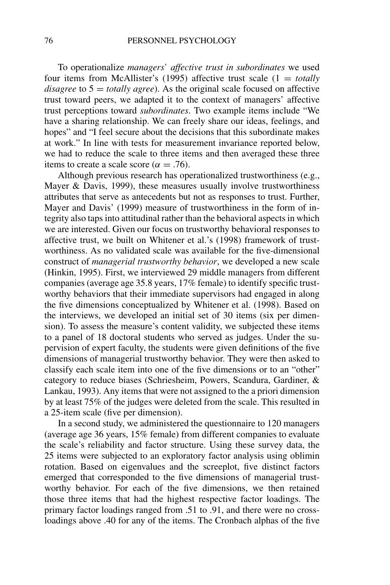To operationalize *managers' affective trust in subordinates* we used four items from McAllister's (1995) affective trust scale (1 = *totally disagree* to  $5 =$  *totally agree*). As the original scale focused on affective trust toward peers, we adapted it to the context of managers' affective trust perceptions toward *subordinates*. Two example items include "We have a sharing relationship. We can freely share our ideas, feelings, and hopes" and "I feel secure about the decisions that this subordinate makes at work." In line with tests for measurement invariance reported below, we had to reduce the scale to three items and then averaged these three items to create a scale score ( $\alpha = .76$ ).

Although previous research has operationalized trustworthiness (e.g., Mayer & Davis, 1999), these measures usually involve trustworthiness attributes that serve as antecedents but not as responses to trust. Further, Mayer and Davis' (1999) measure of trustworthiness in the form of integrity also taps into attitudinal rather than the behavioral aspects in which we are interested. Given our focus on trustworthy behavioral responses to affective trust, we built on Whitener et al.'s (1998) framework of trustworthiness. As no validated scale was available for the five-dimensional construct of *managerial trustworthy behavior*, we developed a new scale (Hinkin, 1995). First, we interviewed 29 middle managers from different companies (average age 35.8 years, 17% female) to identify specific trustworthy behaviors that their immediate supervisors had engaged in along the five dimensions conceptualized by Whitener et al. (1998). Based on the interviews, we developed an initial set of 30 items (six per dimension). To assess the measure's content validity, we subjected these items to a panel of 18 doctoral students who served as judges. Under the supervision of expert faculty, the students were given definitions of the five dimensions of managerial trustworthy behavior. They were then asked to classify each scale item into one of the five dimensions or to an "other" category to reduce biases (Schriesheim, Powers, Scandura, Gardiner, & Lankau, 1993). Any items that were not assigned to the a priori dimension by at least 75% of the judges were deleted from the scale. This resulted in a 25-item scale (five per dimension).

In a second study, we administered the questionnaire to 120 managers (average age 36 years, 15% female) from different companies to evaluate the scale's reliability and factor structure. Using these survey data, the 25 items were subjected to an exploratory factor analysis using oblimin rotation. Based on eigenvalues and the screeplot, five distinct factors emerged that corresponded to the five dimensions of managerial trustworthy behavior. For each of the five dimensions, we then retained those three items that had the highest respective factor loadings. The primary factor loadings ranged from .51 to .91, and there were no crossloadings above .40 for any of the items. The Cronbach alphas of the five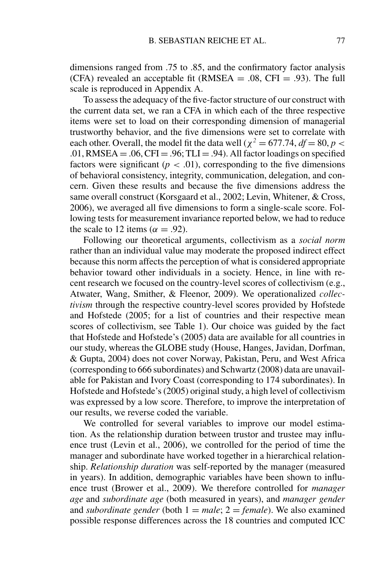dimensions ranged from .75 to .85, and the confirmatory factor analysis (CFA) revealed an acceptable fit (RMSEA  $= .08$ , CFI  $= .93$ ). The full scale is reproduced in Appendix A.

To assess the adequacy of the five-factor structure of our construct with the current data set, we ran a CFA in which each of the three respective items were set to load on their corresponding dimension of managerial trustworthy behavior, and the five dimensions were set to correlate with each other. Overall, the model fit the data well ( $\chi^2 = 677.74$ ,  $df = 80$ ,  $p <$  $.01$ , RMSEA =  $.06$ , CFI =  $.96$ ; TLI =  $.94$ ). All factor loadings on specified factors were significant ( $p < .01$ ), corresponding to the five dimensions of behavioral consistency, integrity, communication, delegation, and concern. Given these results and because the five dimensions address the same overall construct (Korsgaard et al., 2002; Levin, Whitener, & Cross, 2006), we averaged all five dimensions to form a single-scale score. Following tests for measurement invariance reported below, we had to reduce the scale to 12 items ( $\alpha = .92$ ).

Following our theoretical arguments, collectivism as a *social norm* rather than an individual value may moderate the proposed indirect effect because this norm affects the perception of what is considered appropriate behavior toward other individuals in a society. Hence, in line with recent research we focused on the country-level scores of collectivism (e.g., Atwater, Wang, Smither, & Fleenor, 2009). We operationalized *collectivism* through the respective country-level scores provided by Hofstede and Hofstede (2005; for a list of countries and their respective mean scores of collectivism, see Table 1). Our choice was guided by the fact that Hofstede and Hofstede's (2005) data are available for all countries in our study, whereas the GLOBE study (House, Hanges, Javidan, Dorfman, & Gupta, 2004) does not cover Norway, Pakistan, Peru, and West Africa (corresponding to 666 subordinates) and Schwartz (2008) data are unavailable for Pakistan and Ivory Coast (corresponding to 174 subordinates). In Hofstede and Hofstede's (2005) original study, a high level of collectivism was expressed by a low score. Therefore, to improve the interpretation of our results, we reverse coded the variable.

We controlled for several variables to improve our model estimation. As the relationship duration between trustor and trustee may influence trust (Levin et al., 2006), we controlled for the period of time the manager and subordinate have worked together in a hierarchical relationship. *Relationship duration* was self-reported by the manager (measured in years). In addition, demographic variables have been shown to influence trust (Brower et al., 2009). We therefore controlled for *manager age* and *subordinate age* (both measured in years), and *manager gender* and *subordinate gender* (both  $1 = male$ ;  $2 = female$ ). We also examined possible response differences across the 18 countries and computed ICC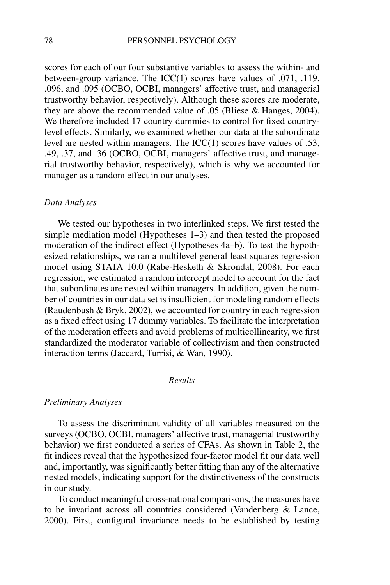scores for each of our four substantive variables to assess the within- and between-group variance. The ICC(1) scores have values of .071, .119, .096, and .095 (OCBO, OCBI, managers' affective trust, and managerial trustworthy behavior, respectively). Although these scores are moderate, they are above the recommended value of .05 (Bliese & Hanges, 2004). We therefore included 17 country dummies to control for fixed countrylevel effects. Similarly, we examined whether our data at the subordinate level are nested within managers. The ICC(1) scores have values of .53, .49, .37, and .36 (OCBO, OCBI, managers' affective trust, and managerial trustworthy behavior, respectively), which is why we accounted for manager as a random effect in our analyses.

#### *Data Analyses*

We tested our hypotheses in two interlinked steps. We first tested the simple mediation model (Hypotheses 1–3) and then tested the proposed moderation of the indirect effect (Hypotheses 4a–b). To test the hypothesized relationships, we ran a multilevel general least squares regression model using STATA 10.0 (Rabe-Hesketh & Skrondal, 2008). For each regression, we estimated a random intercept model to account for the fact that subordinates are nested within managers. In addition, given the number of countries in our data set is insufficient for modeling random effects (Raudenbush & Bryk, 2002), we accounted for country in each regression as a fixed effect using 17 dummy variables. To facilitate the interpretation of the moderation effects and avoid problems of multicollinearity, we first standardized the moderator variable of collectivism and then constructed interaction terms (Jaccard, Turrisi, & Wan, 1990).

#### *Results*

#### *Preliminary Analyses*

To assess the discriminant validity of all variables measured on the surveys (OCBO, OCBI, managers' affective trust, managerial trustworthy behavior) we first conducted a series of CFAs. As shown in Table 2, the fit indices reveal that the hypothesized four-factor model fit our data well and, importantly, was significantly better fitting than any of the alternative nested models, indicating support for the distinctiveness of the constructs in our study.

To conduct meaningful cross-national comparisons, the measures have to be invariant across all countries considered (Vandenberg & Lance, 2000). First, configural invariance needs to be established by testing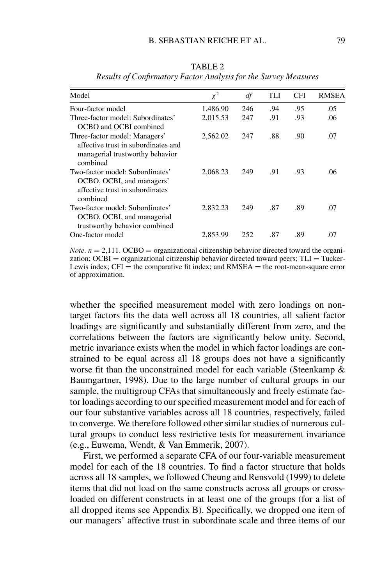| $\chi^2$ | df  | TLI | CFI | <b>RMSEA</b> |
|----------|-----|-----|-----|--------------|
| 1,486.90 | 246 | .94 | .95 | .05          |
| 2,015.53 | 247 | .91 | .93 | .06          |
| 2,562.02 | 247 | .88 | .90 | .07          |
| 2.068.23 | 249 | .91 | .93 | .06          |
| 2,832.23 | 249 | .87 | .89 | .07          |
| 2.853.99 | 252 | .87 | .89 | .07          |
|          |     |     |     |              |

TABLE 2 *Results of Confirmatory Factor Analysis for the Survey Measures*

*Note.*  $n = 2,111$ . OCBO = organizational citizenship behavior directed toward the organization;  $OCBI =$  organizational citizenship behavior directed toward peers;  $TLI = Tucker$ Lewis index;  $CFI =$  the comparative fit index; and  $RMSEA =$  the root-mean-square error of approximation.

whether the specified measurement model with zero loadings on nontarget factors fits the data well across all 18 countries, all salient factor loadings are significantly and substantially different from zero, and the correlations between the factors are significantly below unity. Second, metric invariance exists when the model in which factor loadings are constrained to be equal across all 18 groups does not have a significantly worse fit than the unconstrained model for each variable (Steenkamp  $\&$ Baumgartner, 1998). Due to the large number of cultural groups in our sample, the multigroup CFAs that simultaneously and freely estimate factor loadings according to our specified measurement model and for each of our four substantive variables across all 18 countries, respectively, failed to converge. We therefore followed other similar studies of numerous cultural groups to conduct less restrictive tests for measurement invariance (e.g., Euwema, Wendt, & Van Emmerik, 2007).

First, we performed a separate CFA of our four-variable measurement model for each of the 18 countries. To find a factor structure that holds across all 18 samples, we followed Cheung and Rensvold (1999) to delete items that did not load on the same constructs across all groups or crossloaded on different constructs in at least one of the groups (for a list of all dropped items see Appendix B). Specifically, we dropped one item of our managers' affective trust in subordinate scale and three items of our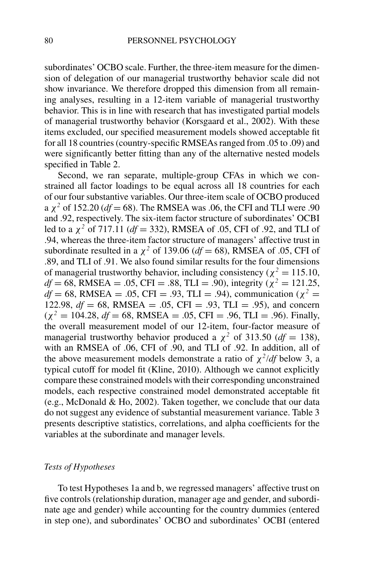subordinates' OCBO scale. Further, the three-item measure for the dimension of delegation of our managerial trustworthy behavior scale did not show invariance. We therefore dropped this dimension from all remaining analyses, resulting in a 12-item variable of managerial trustworthy behavior. This is in line with research that has investigated partial models of managerial trustworthy behavior (Korsgaard et al., 2002). With these items excluded, our specified measurement models showed acceptable fit for all 18 countries (country-specific RMSEAs ranged from .05 to .09) and were significantly better fitting than any of the alternative nested models specified in Table 2.

Second, we ran separate, multiple-group CFAs in which we constrained all factor loadings to be equal across all 18 countries for each of our four substantive variables. Our three-item scale of OCBO produced a  $\chi^2$  of 152.20 (*df* = 68). The RMSEA was .06, the CFI and TLI were .90 and .92, respectively. The six-item factor structure of subordinates' OCBI led to a χ*<sup>2</sup>* of 717.11 (*df* = 332), RMSEA of .05, CFI of .92, and TLI of .94, whereas the three-item factor structure of managers' affective trust in subordinate resulted in a  $\chi^2$  of 139.06 (*df* = 68), RMSEA of .05, CFI of .89, and TLI of .91. We also found similar results for the four dimensions of managerial trustworthy behavior, including consistency ( $\chi^2 = 115.10$ ,  $df = 68$ , RMSEA = .05, CFI = .88, TLI = .90), integrity ( $\chi^2 = 121.25$ ,  $df = 68$ , RMSEA = .05, CFI = .93, TLI = .94), communication ( $\chi^2$  = 122.98,  $df = 68$ , RMSEA = .05, CFI = .93, TLI = .95), and concern  $(\chi^2 = 104.28, df = 68, RMSEA = .05, CFI = .96, TLI = .96)$ . Finally, the overall measurement model of our 12-item, four-factor measure of managerial trustworthy behavior produced a  $\chi^2$  of 313.50 (*df* = 138), with an RMSEA of .06, CFI of .90, and TLI of .92. In addition, all of the above measurement models demonstrate a ratio of  $\chi^2/df$  below 3, a typical cutoff for model fit (Kline, 2010). Although we cannot explicitly compare these constrained models with their corresponding unconstrained models, each respective constrained model demonstrated acceptable fit (e.g., McDonald & Ho, 2002). Taken together, we conclude that our data do not suggest any evidence of substantial measurement variance. Table 3 presents descriptive statistics, correlations, and alpha coefficients for the variables at the subordinate and manager levels.

#### *Tests of Hypotheses*

To test Hypotheses 1a and b, we regressed managers' affective trust on five controls (relationship duration, manager age and gender, and subordinate age and gender) while accounting for the country dummies (entered in step one), and subordinates' OCBO and subordinates' OCBI (entered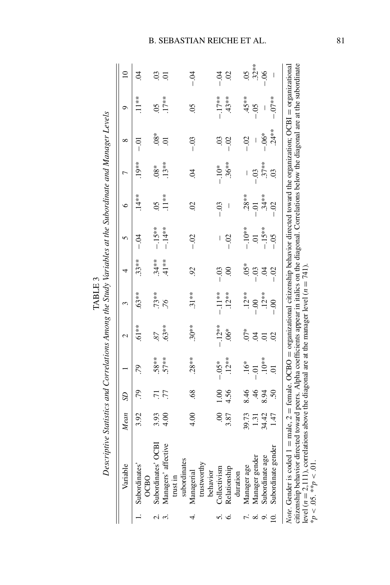| $-1 - 1 - 2$<br>ׅ֧ׅׅ֧ׅׅ֧ׅ֧֧֧ׅׅ֧֧ׅ֧֧֧֧֧֧֧֧֧֧֧֧֧֚֚֚֚֚֚֚֚֚֚֚֚֚֚֚֚֚֚֚֚֚֚֚֚֚֡֕֝֓֝֓֝֓֓֝֓֝֬֓֝֬֝֬֝֬֝֬֝֬֝֬֝֬֝֬֝֬֝֬֝֬֝֬<br>ì<br>$\mathfrak{c}$ |  |  |
|--------------------------------------------------------------------------------------------------------------------------------------|--|--|
|--------------------------------------------------------------------------------------------------------------------------------------|--|--|

|                     | Variable              | Mean SD        |                     | $1$ 2                                      |                                | $\frac{1}{2}$                    | $4\overline{5}$      |                                  | $\overline{6}$  | $\overline{7}$    | $\infty$       | $\circ$                  | $\approx$                 |
|---------------------|-----------------------|----------------|---------------------|--------------------------------------------|--------------------------------|----------------------------------|----------------------|----------------------------------|-----------------|-------------------|----------------|--------------------------|---------------------------|
|                     | Subordinates'<br>OCBO |                | 3.92 .79            | 56                                         | $.61**$                        | $.63**$                          |                      | $.33***-.04$                     | $.14**$         | $-0.19***$        |                | $.11**$                  | S.                        |
| نہ                  | Subordinates' OCBI    | 3.93           |                     |                                            |                                |                                  |                      |                                  |                 |                   |                |                          |                           |
|                     | Managers' affective   | 4.00           |                     | ** 58<br>***                               | $rac{87}{63}$                  | $\frac{97}{12}$ **               | $34**$<br>41**       | $-15**$<br>$-14**$               | $05$<br>$11***$ | $.08*$<br>$.13**$ | $-8*$<br>$-80$ | $.17**$                  | S S                       |
|                     | trust in              |                |                     |                                            |                                |                                  |                      |                                  |                 |                   |                |                          |                           |
|                     | subordinates          |                |                     |                                            |                                |                                  |                      |                                  |                 |                   |                |                          |                           |
|                     | Managerial            | 4.00           | $89$ .              | $.28***$ $.30***$                          |                                | $31**$                           | $\ddot{\mathcal{S}}$ | $-02$                            | $\overline{c}$  | Ŕ                 | $-0.03$        | $\widetilde{S}$          | $-0.4$                    |
|                     | trustworthy           |                |                     |                                            |                                |                                  |                      |                                  |                 |                   |                |                          |                           |
|                     | behavior              |                |                     |                                            |                                |                                  |                      |                                  |                 |                   |                |                          |                           |
|                     | Collectivism          | $rac{8}{3.87}$ | $\frac{1.00}{4.56}$ | $-0.5$ <sup>*</sup><br>$+12$ <sup>**</sup> |                                |                                  | $\frac{3}{1}$        | $\frac{1}{2}$                    | $-0.3$          | $-10*$<br>36**    | $rac{3}{5}$    | $-17**$<br>43**          | $-0.4$                    |
|                     | Relationship          |                |                     |                                            | $-12**$ $-11**$<br>06* $12***$ |                                  |                      |                                  |                 |                   |                |                          |                           |
|                     | duration              |                |                     |                                            |                                |                                  |                      |                                  |                 |                   |                |                          |                           |
|                     | Manager age           | 39.73          | 8.46                |                                            |                                |                                  |                      |                                  | $.28***$        |                   | $-0$           | $45**$                   | $\widetilde{\mathrm{SO}}$ |
| $\infty$ o $\infty$ | Manager gender        | $1.31\,$       | 46                  | $-16*$<br>-0.1                             | $\ddot{\tilde{c}}$ g g         |                                  |                      |                                  |                 |                   |                |                          | $.32**$                   |
|                     | Subordinate age       | 34.42          | 8.94                | $.10**$                                    |                                | $12***$<br>--00<br>-12**<br>--00 | 553                  | $-10***$<br>$-15***$<br>$-15***$ | $.34***$        | $.37***$          | $-.06*$        | $\overline{\phantom{a}}$ | $-0.06$                   |
| $\overline{10}$ .   | Subordinate gender    | 1.47           |                     |                                            |                                |                                  |                      |                                  |                 |                   | $.24**$        | $-0.07**$                |                           |

# B. SEBASTIAN REICHE ET AL. 81

level ( $n = 2.111$ ), correlations above the diagonal are at the manager level ( $n = 741$ ).

\**p*

 $< 0.05$ . \* $p$ 

< .01.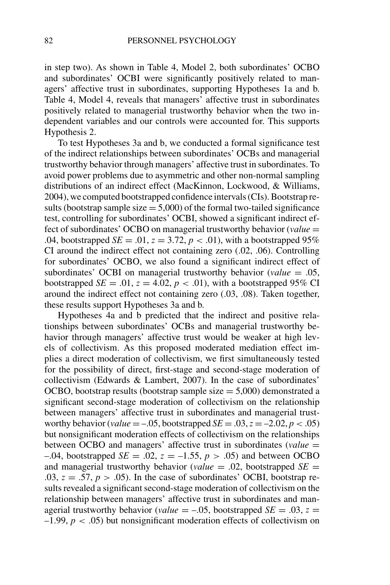in step two). As shown in Table 4, Model 2, both subordinates' OCBO and subordinates' OCBI were significantly positively related to managers' affective trust in subordinates, supporting Hypotheses 1a and b. Table 4, Model 4, reveals that managers' affective trust in subordinates positively related to managerial trustworthy behavior when the two independent variables and our controls were accounted for. This supports Hypothesis 2.

To test Hypotheses 3a and b, we conducted a formal significance test of the indirect relationships between subordinates' OCBs and managerial trustworthy behavior through managers' affective trust in subordinates. To avoid power problems due to asymmetric and other non-normal sampling distributions of an indirect effect (MacKinnon, Lockwood, & Williams, 2004), we computed bootstrapped confidence intervals (CIs). Bootstrap results (bootstrap sample size  $= 5,000$ ) of the formal two-tailed significance test, controlling for subordinates' OCBI, showed a significant indirect effect of subordinates' OCBO on managerial trustworthy behavior (*value* = .04, bootstrapped  $SE = .01$ ,  $z = 3.72$ ,  $p < .01$ ), with a bootstrapped 95% CI around the indirect effect not containing zero (.02, .06). Controlling for subordinates' OCBO, we also found a significant indirect effect of subordinates' OCBI on managerial trustworthy behavior (*value* = .05, bootstrapped *SE* = .01,  $z = 4.02$ ,  $p < .01$ ), with a bootstrapped 95% CI around the indirect effect not containing zero (.03, .08). Taken together, these results support Hypotheses 3a and b.

Hypotheses 4a and b predicted that the indirect and positive relationships between subordinates' OCBs and managerial trustworthy behavior through managers' affective trust would be weaker at high levels of collectivism. As this proposed moderated mediation effect implies a direct moderation of collectivism, we first simultaneously tested for the possibility of direct, first-stage and second-stage moderation of collectivism (Edwards & Lambert, 2007). In the case of subordinates' OCBO, bootstrap results (bootstrap sample size  $= 5,000$ ) demonstrated a significant second-stage moderation of collectivism on the relationship between managers' affective trust in subordinates and managerial trustworthy behavior (*value* = -.05, bootstrapped *SE* = .03,  $z = -2.02$ ,  $p < .05$ ) but nonsignificant moderation effects of collectivism on the relationships between OCBO and managers' affective trust in subordinates (*value* =  $-0.04$ , bootstrapped *SE* =  $.02$ ,  $z = -1.55$ ,  $p > 0.05$ ) and between OCBO and managerial trustworthy behavior (*value* = .02, bootstrapped  $SE$  = .03,  $z = .57$ ,  $p > .05$ ). In the case of subordinates' OCBI, bootstrap results revealed a significant second-stage moderation of collectivism on the relationship between managers' affective trust in subordinates and managerial trustworthy behavior (*value* = -.05, bootstrapped *SE* = .03, *z* =  $-1.99, p < .05$ ) but nonsignificant moderation effects of collectivism on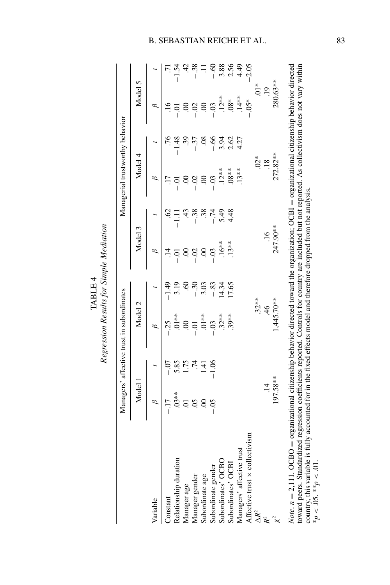|       | i.                  |
|-------|---------------------|
| TABLF | ō<br>Ì<br>ı Results |
|       | gression            |

|                                                                                                                                                                                  |                 |                 | Managers' affective trust in subordinates                                                                                                                                                                                      |               |                |               | Managerial trustworthy behavior |           |                  |                       |
|----------------------------------------------------------------------------------------------------------------------------------------------------------------------------------|-----------------|-----------------|--------------------------------------------------------------------------------------------------------------------------------------------------------------------------------------------------------------------------------|---------------|----------------|---------------|---------------------------------|-----------|------------------|-----------------------|
|                                                                                                                                                                                  | Model           |                 | Model 2                                                                                                                                                                                                                        |               | Model 3        |               | Model 4                         |           | Model 5          |                       |
| Variable                                                                                                                                                                         | B               |                 |                                                                                                                                                                                                                                |               | ∞              |               | ∝                               |           | ∞                |                       |
| Constant                                                                                                                                                                         |                 |                 | $-25$                                                                                                                                                                                                                          |               |                | $\mathcal{S}$ |                                 |           |                  |                       |
| Relationship duration                                                                                                                                                            | $.03**$         | 5.85            | $.01**$                                                                                                                                                                                                                        | 3.19          |                |               |                                 | $^{1.48}$ |                  | $-1.54$               |
| Manager age                                                                                                                                                                      |                 | 1.75            | ă                                                                                                                                                                                                                              | $\mathcal{S}$ |                | 43            |                                 | 39        |                  | 42                    |
| Manager gender                                                                                                                                                                   | $\overline{50}$ | $\vec{r}$       | $-0.1$                                                                                                                                                                                                                         | $-30$         |                | $-38$         |                                 | $-37$     | $-0.2$           | $-38$                 |
| Subordinate age                                                                                                                                                                  |                 | $\overline{14}$ | $01**$                                                                                                                                                                                                                         | 3.03          |                | 38.           |                                 | 08        | $\odot$          | $\Xi$                 |
| Subordinate gender                                                                                                                                                               |                 | $-1.06$         | $\overline{0}$                                                                                                                                                                                                                 | $-83$         | $\overline{0}$ | $-74$         | $-0.3$                          | $-0.66$   | $-0.03$          | $-60$                 |
| Subordinates' OCBO                                                                                                                                                               |                 |                 | $.32**$                                                                                                                                                                                                                        | 4.34          | $.16**$        | 5.49          | $.12**$                         | 3.94      | $.12***$         | 3.88                  |
| Subordinates' OCBI                                                                                                                                                               |                 |                 | $.39***$                                                                                                                                                                                                                       | 17.65         | $.13**$        | 4.48          | $.08**$                         | 2.62      | $.08*$           | 2.56                  |
| Managers' affective trust                                                                                                                                                        |                 |                 |                                                                                                                                                                                                                                |               |                |               | $.13***$                        | 4.27      | $.14**$          | 4.49                  |
| Affective trust $\times$ collectivism                                                                                                                                            |                 |                 |                                                                                                                                                                                                                                |               |                |               |                                 |           | $-0.05*$         | $-2.05$               |
|                                                                                                                                                                                  |                 |                 |                                                                                                                                                                                                                                | $.32**$       |                |               | $.02*$                          |           | $\sum_{i=1}^{n}$ |                       |
|                                                                                                                                                                                  | $\vec{=}$       |                 | 46                                                                                                                                                                                                                             |               | $\frac{16}{1}$ |               | $\overline{.18}$                |           | $\ddot{5}$       |                       |
|                                                                                                                                                                                  | 197.58**        |                 | $.445.70***$                                                                                                                                                                                                                   |               | 247.90**       |               | 272.82**                        |           | 280.63**         |                       |
| Note $n = 2.111$ . OCBO = organizational citizenship behavior directed toward the organization; OCBI = organizational citizenship behavior directed<br>torrord monas Ctoudoutlas |                 |                 | , a contract the companion of the companion of the function of the companion of the companion of the companion of the companion of the companion of the companion of the companion of the companion of the companion of the co |               |                |               |                                 |           |                  | دانية المتحدد ومستحدد |

toward peers. Standardized regression coefficients reported. Controls for country are included but not reported. As collectivism does not vary within country, this variable is fully accounted for in the fixed effects model and therefore dropped from the analysis. \**p*  $< 0.05$ .  $*^{*}p$ < .01.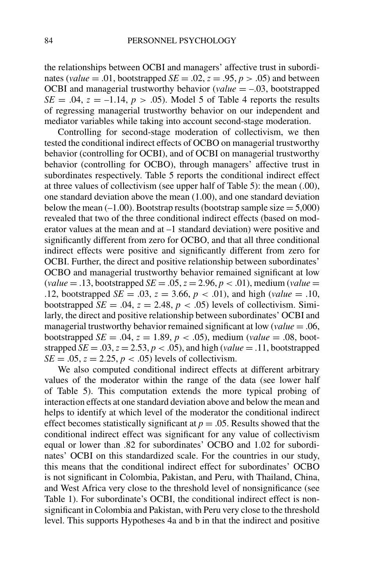the relationships between OCBI and managers' affective trust in subordinates (*value* = .01, bootstrapped  $SE = .02$ ,  $z = .95$ ,  $p > .05$ ) and between OCBI and managerial trustworthy behavior (*value* = –.03, bootstrapped  $SE = .04$ ,  $z = -1.14$ ,  $p > .05$ ). Model 5 of Table 4 reports the results of regressing managerial trustworthy behavior on our independent and mediator variables while taking into account second-stage moderation.

Controlling for second-stage moderation of collectivism, we then tested the conditional indirect effects of OCBO on managerial trustworthy behavior (controlling for OCBI), and of OCBI on managerial trustworthy behavior (controlling for OCBO), through managers' affective trust in subordinates respectively. Table 5 reports the conditional indirect effect at three values of collectivism (see upper half of Table 5): the mean (.00), one standard deviation above the mean (1.00), and one standard deviation below the mean  $(-1.00)$ . Bootstrap results (bootstrap sample size  $= 5,000$ ) revealed that two of the three conditional indirect effects (based on moderator values at the mean and at –1 standard deviation) were positive and significantly different from zero for OCBO, and that all three conditional indirect effects were positive and significantly different from zero for OCBI. Further, the direct and positive relationship between subordinates' OCBO and managerial trustworthy behavior remained significant at low (*value* = .13, bootstrapped *SE* = .05,  $z = 2.96$ ,  $p < .01$ ), medium (*value* = .12, bootstrapped *SE* = .03, *z* = 3.66, *p* < .01), and high (*value* = .10, bootstrapped *SE* = .04,  $z = 2.48$ ,  $p < .05$ ) levels of collectivism. Similarly, the direct and positive relationship between subordinates' OCBI and managerial trustworthy behavior remained significant at low (*value* = .06, bootstrapped *SE* = .04, *z* = 1.89, *p* < .05), medium (*value* = .08, bootstrapped  $SE = .03$ ,  $z = 2.53$ ,  $p < .05$ ), and high (*value* = .11, bootstrapped  $SE = .05$ ,  $z = 2.25$ ,  $p < .05$ ) levels of collectivism.

We also computed conditional indirect effects at different arbitrary values of the moderator within the range of the data (see lower half of Table 5). This computation extends the more typical probing of interaction effects at one standard deviation above and below the mean and helps to identify at which level of the moderator the conditional indirect effect becomes statistically significant at  $p = 0.05$ . Results showed that the conditional indirect effect was significant for any value of collectivism equal or lower than .82 for subordinates' OCBO and 1.02 for subordinates' OCBI on this standardized scale. For the countries in our study, this means that the conditional indirect effect for subordinates' OCBO is not significant in Colombia, Pakistan, and Peru, with Thailand, China, and West Africa very close to the threshold level of nonsignificance (see Table 1). For subordinate's OCBI, the conditional indirect effect is nonsignificant in Colombia and Pakistan, with Peru very close to the threshold level. This supports Hypotheses 4a and b in that the indirect and positive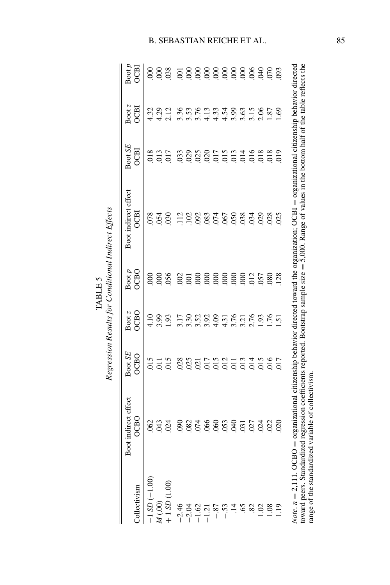|                                                                      | Boot indirect effect | Boot SE          | Boot:                 | $_{\text{Bootp}}$ | Boot indirect effect | $\mathop{\mathrm{Boot}}\nolimits\!$ | Boot z | $\text{Boot } p$ |
|----------------------------------------------------------------------|----------------------|------------------|-----------------------|-------------------|----------------------|-------------------------------------|--------|------------------|
| Collectivism                                                         | <b>OCBO</b>          | <b>OCBO</b>      | O <sub>CD</sub>       | O <sub>CB</sub>   | <b>OCBI</b>          | <b>OCBI</b>                         | OCBI   | OCBI             |
| $-1 SD (-1.00)$                                                      | 062                  | 015              | 4.10                  | 800               | 078                  | 018                                 | 4.32   | 800              |
| $\left( \begin{smallmatrix} 0 & 0 \ 0 & 0 \end{smallmatrix} \right)$ | 043                  | $\overline{011}$ | 3.99                  | 000               | 054                  | .013                                | 4.29   | 800              |
| $+1SD(1.00)$                                                         | 024                  | 015              | 1.93                  | 056               | 030                  | 017                                 | 2.12   | 038              |
| $-2.46$                                                              | 090                  | 028              | 3.17                  | $\overline{0}$    | 112                  | 033                                 | 3.36   | $\overline{0}$   |
| $-2.04$                                                              | 082                  | 025              | 3.30                  | $\overline{5}$    | $\frac{102}{2}$      | .029                                | 3.53   | 000              |
| $-1.62$                                                              | 074                  | .021             |                       | 000               | 092                  | .025                                | 3.76   | 000              |
| $-1.21$                                                              | 86                   | 017              |                       | $\overline{000}$  | .083                 | .020                                | 4.13   | 000              |
| $-87$                                                                | 060                  | 015              | 3.52<br>3.92<br>4.3.1 | 000               | .074                 | .017                                | 4.33   | 000              |
| $-53$                                                                | 053                  | .012             |                       | $\overline{000}$  | .067                 | .015                                | 4.54   | 800              |
| $\overline{14}$                                                      | <b>940</b>           | .011             | 3.76                  | 000               | 050                  | .013                                | 3.99   | 000              |
|                                                                      | 53                   | 013              | 3.21                  | $\overline{000}$  | 038                  | 014                                 | 3.63   | 800              |
| 82                                                                   | 027                  | 014              | 2.76                  | 012               | 034                  | 016                                 | 3.15   | 80               |
| $\approx$                                                            | 024                  | 015              | 93                    | 057               | 029                  | 018                                 | 2.06   | 040              |
| .08                                                                  | 022                  | 016              | .76                   | 080               | 028                  | 018                                 | 1.87   | 070              |
| $\ddot{5}$                                                           | 80                   | 017              | 5                     | 128               | 025                  | 019                                 | 69     | 093              |

TABLE 5

TABLE 5

toward peers. Standardized regression coefficients reported. Bootstrap sample size

range of the standardized variable of collectivism.

 $=$  5,000. Range of values in the bottom half of the table reflects the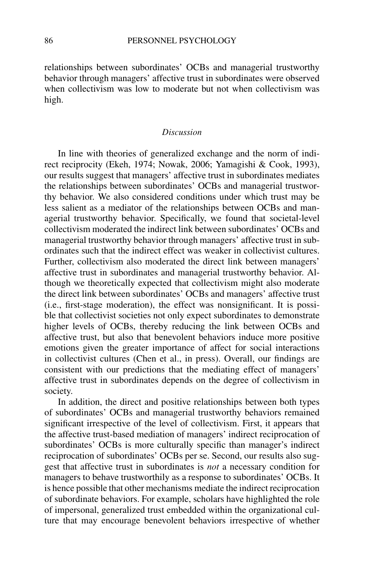relationships between subordinates' OCBs and managerial trustworthy behavior through managers' affective trust in subordinates were observed when collectivism was low to moderate but not when collectivism was high.

#### *Discussion*

In line with theories of generalized exchange and the norm of indirect reciprocity (Ekeh, 1974; Nowak, 2006; Yamagishi & Cook, 1993), our results suggest that managers' affective trust in subordinates mediates the relationships between subordinates' OCBs and managerial trustworthy behavior. We also considered conditions under which trust may be less salient as a mediator of the relationships between OCBs and managerial trustworthy behavior. Specifically, we found that societal-level collectivism moderated the indirect link between subordinates' OCBs and managerial trustworthy behavior through managers' affective trust in subordinates such that the indirect effect was weaker in collectivist cultures. Further, collectivism also moderated the direct link between managers' affective trust in subordinates and managerial trustworthy behavior. Although we theoretically expected that collectivism might also moderate the direct link between subordinates' OCBs and managers' affective trust (i.e., first-stage moderation), the effect was nonsignificant. It is possible that collectivist societies not only expect subordinates to demonstrate higher levels of OCBs, thereby reducing the link between OCBs and affective trust, but also that benevolent behaviors induce more positive emotions given the greater importance of affect for social interactions in collectivist cultures (Chen et al., in press). Overall, our findings are consistent with our predictions that the mediating effect of managers' affective trust in subordinates depends on the degree of collectivism in society.

In addition, the direct and positive relationships between both types of subordinates' OCBs and managerial trustworthy behaviors remained significant irrespective of the level of collectivism. First, it appears that the affective trust-based mediation of managers' indirect reciprocation of subordinates' OCBs is more culturally specific than manager's indirect reciprocation of subordinates' OCBs per se. Second, our results also suggest that affective trust in subordinates is *not* a necessary condition for managers to behave trustworthily as a response to subordinates' OCBs. It is hence possible that other mechanisms mediate the indirect reciprocation of subordinate behaviors. For example, scholars have highlighted the role of impersonal, generalized trust embedded within the organizational culture that may encourage benevolent behaviors irrespective of whether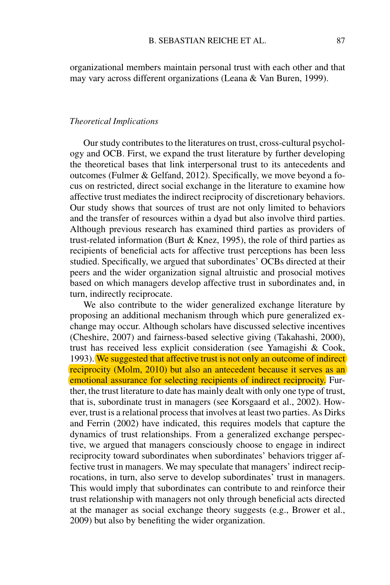organizational members maintain personal trust with each other and that may vary across different organizations (Leana & Van Buren, 1999).

#### *Theoretical Implications*

Our study contributes to the literatures on trust, cross-cultural psychology and OCB. First, we expand the trust literature by further developing the theoretical bases that link interpersonal trust to its antecedents and outcomes (Fulmer & Gelfand, 2012). Specifically, we move beyond a focus on restricted, direct social exchange in the literature to examine how affective trust mediates the indirect reciprocity of discretionary behaviors. Our study shows that sources of trust are not only limited to behaviors and the transfer of resources within a dyad but also involve third parties. Although previous research has examined third parties as providers of trust-related information (Burt & Knez, 1995), the role of third parties as recipients of beneficial acts for affective trust perceptions has been less studied. Specifically, we argued that subordinates' OCBs directed at their peers and the wider organization signal altruistic and prosocial motives based on which managers develop affective trust in subordinates and, in turn, indirectly reciprocate.

We also contribute to the wider generalized exchange literature by proposing an additional mechanism through which pure generalized exchange may occur. Although scholars have discussed selective incentives (Cheshire, 2007) and fairness-based selective giving (Takahashi, 2000), trust has received less explicit consideration (see Yamagishi & Cook, 1993). We suggested that affective trust is not only an outcome of indirect reciprocity (Molm, 2010) but also an antecedent because it serves as an emotional assurance for selecting recipients of indirect reciprocity. Further, the trust literature to date has mainly dealt with only one type of trust, that is, subordinate trust in managers (see Korsgaard et al., 2002). However, trust is a relational process that involves at least two parties. As Dirks and Ferrin (2002) have indicated, this requires models that capture the dynamics of trust relationships. From a generalized exchange perspective, we argued that managers consciously choose to engage in indirect reciprocity toward subordinates when subordinates' behaviors trigger affective trust in managers. We may speculate that managers' indirect reciprocations, in turn, also serve to develop subordinates' trust in managers. This would imply that subordinates can contribute to and reinforce their trust relationship with managers not only through beneficial acts directed at the manager as social exchange theory suggests (e.g., Brower et al., 2009) but also by benefiting the wider organization.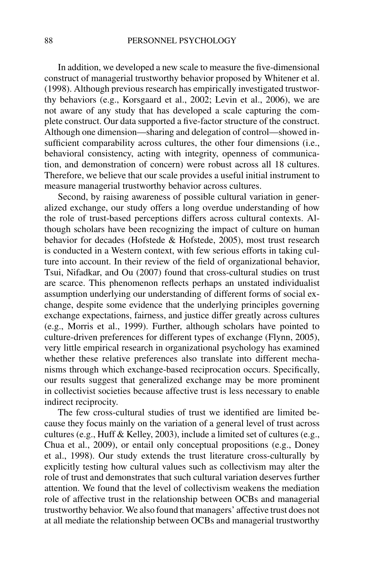In addition, we developed a new scale to measure the five-dimensional construct of managerial trustworthy behavior proposed by Whitener et al. (1998). Although previous research has empirically investigated trustworthy behaviors (e.g., Korsgaard et al., 2002; Levin et al., 2006), we are not aware of any study that has developed a scale capturing the complete construct. Our data supported a five-factor structure of the construct. Although one dimension—sharing and delegation of control—showed insufficient comparability across cultures, the other four dimensions (i.e., behavioral consistency, acting with integrity, openness of communication, and demonstration of concern) were robust across all 18 cultures. Therefore, we believe that our scale provides a useful initial instrument to measure managerial trustworthy behavior across cultures.

Second, by raising awareness of possible cultural variation in generalized exchange, our study offers a long overdue understanding of how the role of trust-based perceptions differs across cultural contexts. Although scholars have been recognizing the impact of culture on human behavior for decades (Hofstede & Hofstede, 2005), most trust research is conducted in a Western context, with few serious efforts in taking culture into account. In their review of the field of organizational behavior, Tsui, Nifadkar, and Ou (2007) found that cross-cultural studies on trust are scarce. This phenomenon reflects perhaps an unstated individualist assumption underlying our understanding of different forms of social exchange, despite some evidence that the underlying principles governing exchange expectations, fairness, and justice differ greatly across cultures (e.g., Morris et al., 1999). Further, although scholars have pointed to culture-driven preferences for different types of exchange (Flynn, 2005), very little empirical research in organizational psychology has examined whether these relative preferences also translate into different mechanisms through which exchange-based reciprocation occurs. Specifically, our results suggest that generalized exchange may be more prominent in collectivist societies because affective trust is less necessary to enable indirect reciprocity.

The few cross-cultural studies of trust we identified are limited because they focus mainly on the variation of a general level of trust across cultures (e.g., Huff & Kelley, 2003), include a limited set of cultures (e.g., Chua et al., 2009), or entail only conceptual propositions (e.g., Doney et al., 1998). Our study extends the trust literature cross-culturally by explicitly testing how cultural values such as collectivism may alter the role of trust and demonstrates that such cultural variation deserves further attention. We found that the level of collectivism weakens the mediation role of affective trust in the relationship between OCBs and managerial trustworthy behavior. We also found that managers' affective trust does not at all mediate the relationship between OCBs and managerial trustworthy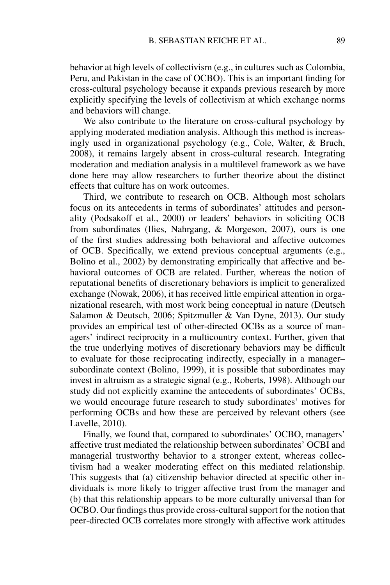behavior at high levels of collectivism (e.g., in cultures such as Colombia, Peru, and Pakistan in the case of OCBO). This is an important finding for cross-cultural psychology because it expands previous research by more explicitly specifying the levels of collectivism at which exchange norms and behaviors will change.

We also contribute to the literature on cross-cultural psychology by applying moderated mediation analysis. Although this method is increasingly used in organizational psychology (e.g., Cole, Walter, & Bruch, 2008), it remains largely absent in cross-cultural research. Integrating moderation and mediation analysis in a multilevel framework as we have done here may allow researchers to further theorize about the distinct effects that culture has on work outcomes.

Third, we contribute to research on OCB. Although most scholars focus on its antecedents in terms of subordinates' attitudes and personality (Podsakoff et al., 2000) or leaders' behaviors in soliciting OCB from subordinates (Ilies, Nahrgang, & Morgeson, 2007), ours is one of the first studies addressing both behavioral and affective outcomes of OCB. Specifically, we extend previous conceptual arguments (e.g., Bolino et al., 2002) by demonstrating empirically that affective and behavioral outcomes of OCB are related. Further, whereas the notion of reputational benefits of discretionary behaviors is implicit to generalized exchange (Nowak, 2006), it has received little empirical attention in organizational research, with most work being conceptual in nature (Deutsch Salamon & Deutsch, 2006; Spitzmuller & Van Dyne, 2013). Our study provides an empirical test of other-directed OCBs as a source of managers' indirect reciprocity in a multicountry context. Further, given that the true underlying motives of discretionary behaviors may be difficult to evaluate for those reciprocating indirectly, especially in a manager– subordinate context (Bolino, 1999), it is possible that subordinates may invest in altruism as a strategic signal (e.g., Roberts, 1998). Although our study did not explicitly examine the antecedents of subordinates' OCBs, we would encourage future research to study subordinates' motives for performing OCBs and how these are perceived by relevant others (see Lavelle, 2010).

Finally, we found that, compared to subordinates' OCBO, managers' affective trust mediated the relationship between subordinates' OCBI and managerial trustworthy behavior to a stronger extent, whereas collectivism had a weaker moderating effect on this mediated relationship. This suggests that (a) citizenship behavior directed at specific other individuals is more likely to trigger affective trust from the manager and (b) that this relationship appears to be more culturally universal than for OCBO. Our findings thus provide cross-cultural support for the notion that peer-directed OCB correlates more strongly with affective work attitudes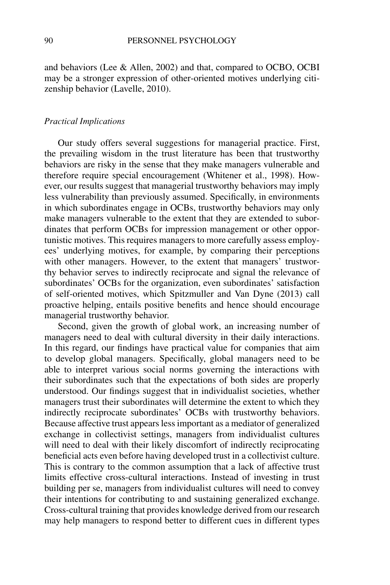and behaviors (Lee & Allen, 2002) and that, compared to OCBO, OCBI may be a stronger expression of other-oriented motives underlying citizenship behavior (Lavelle, 2010).

#### *Practical Implications*

Our study offers several suggestions for managerial practice. First, the prevailing wisdom in the trust literature has been that trustworthy behaviors are risky in the sense that they make managers vulnerable and therefore require special encouragement (Whitener et al., 1998). However, our results suggest that managerial trustworthy behaviors may imply less vulnerability than previously assumed. Specifically, in environments in which subordinates engage in OCBs, trustworthy behaviors may only make managers vulnerable to the extent that they are extended to subordinates that perform OCBs for impression management or other opportunistic motives. This requires managers to more carefully assess employees' underlying motives, for example, by comparing their perceptions with other managers. However, to the extent that managers' trustworthy behavior serves to indirectly reciprocate and signal the relevance of subordinates' OCBs for the organization, even subordinates' satisfaction of self-oriented motives, which Spitzmuller and Van Dyne (2013) call proactive helping, entails positive benefits and hence should encourage managerial trustworthy behavior.

Second, given the growth of global work, an increasing number of managers need to deal with cultural diversity in their daily interactions. In this regard, our findings have practical value for companies that aim to develop global managers. Specifically, global managers need to be able to interpret various social norms governing the interactions with their subordinates such that the expectations of both sides are properly understood. Our findings suggest that in individualist societies, whether managers trust their subordinates will determine the extent to which they indirectly reciprocate subordinates' OCBs with trustworthy behaviors. Because affective trust appears less important as a mediator of generalized exchange in collectivist settings, managers from individualist cultures will need to deal with their likely discomfort of indirectly reciprocating beneficial acts even before having developed trust in a collectivist culture. This is contrary to the common assumption that a lack of affective trust limits effective cross-cultural interactions. Instead of investing in trust building per se, managers from individualist cultures will need to convey their intentions for contributing to and sustaining generalized exchange. Cross-cultural training that provides knowledge derived from our research may help managers to respond better to different cues in different types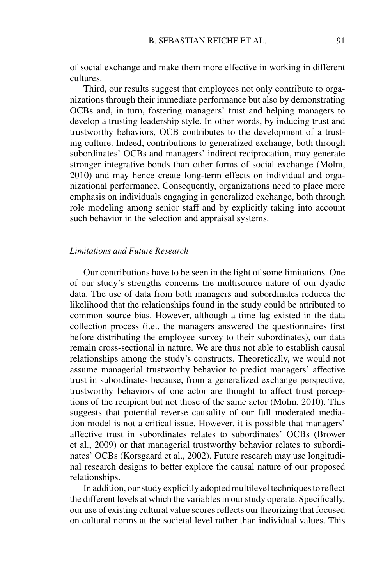of social exchange and make them more effective in working in different cultures.

Third, our results suggest that employees not only contribute to organizations through their immediate performance but also by demonstrating OCBs and, in turn, fostering managers' trust and helping managers to develop a trusting leadership style. In other words, by inducing trust and trustworthy behaviors, OCB contributes to the development of a trusting culture. Indeed, contributions to generalized exchange, both through subordinates' OCBs and managers' indirect reciprocation, may generate stronger integrative bonds than other forms of social exchange (Molm, 2010) and may hence create long-term effects on individual and organizational performance. Consequently, organizations need to place more emphasis on individuals engaging in generalized exchange, both through role modeling among senior staff and by explicitly taking into account such behavior in the selection and appraisal systems.

#### *Limitations and Future Research*

Our contributions have to be seen in the light of some limitations. One of our study's strengths concerns the multisource nature of our dyadic data. The use of data from both managers and subordinates reduces the likelihood that the relationships found in the study could be attributed to common source bias. However, although a time lag existed in the data collection process (i.e., the managers answered the questionnaires first before distributing the employee survey to their subordinates), our data remain cross-sectional in nature. We are thus not able to establish causal relationships among the study's constructs. Theoretically, we would not assume managerial trustworthy behavior to predict managers' affective trust in subordinates because, from a generalized exchange perspective, trustworthy behaviors of one actor are thought to affect trust perceptions of the recipient but not those of the same actor (Molm, 2010). This suggests that potential reverse causality of our full moderated mediation model is not a critical issue. However, it is possible that managers' affective trust in subordinates relates to subordinates' OCBs (Brower et al., 2009) or that managerial trustworthy behavior relates to subordinates' OCBs (Korsgaard et al., 2002). Future research may use longitudinal research designs to better explore the causal nature of our proposed relationships.

In addition, our study explicitly adopted multilevel techniques to reflect the different levels at which the variables in our study operate. Specifically, our use of existing cultural value scores reflects our theorizing that focused on cultural norms at the societal level rather than individual values. This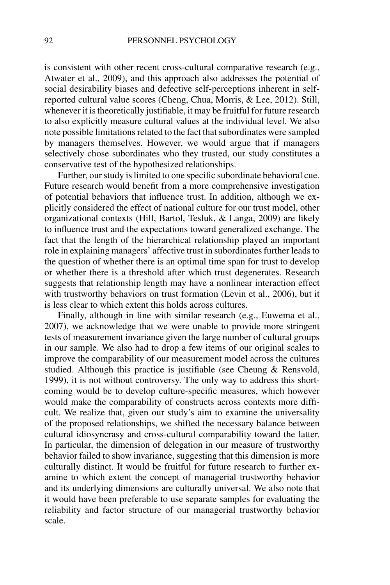is consistent with other recent cross-cultural comparative research (e.g., Atwater et al., 2009), and this approach also addresses the potential of social desirability biases and defective self-perceptions inherent in selfreported cultural value scores (Cheng, Chua, Morris, & Lee, 2012). Still, whenever it is theoretically justifiable, it may be fruitful for future research to also explicitly measure cultural values at the individual level. We also note possible limitations related to the fact that subordinates were sampled by managers themselves. However, we would argue that if managers selectively chose subordinates who they trusted, our study constitutes a conservative test of the hypothesized relationships.

Further, our study is limited to one specific subordinate behavioral cue. Future research would benefit from a more comprehensive investigation of potential behaviors that influence trust. In addition, although we explicitly considered the effect of national culture for our trust model, other organizational contexts (Hill, Bartol, Tesluk, & Langa, 2009) are likely to influence trust and the expectations toward generalized exchange. The fact that the length of the hierarchical relationship played an important role in explaining managers' affective trust in subordinates further leads to the question of whether there is an optimal time span for trust to develop or whether there is a threshold after which trust degenerates. Research suggests that relationship length may have a nonlinear interaction effect with trustworthy behaviors on trust formation (Levin et al., 2006), but it is less clear to which extent this holds across cultures.

Finally, although in line with similar research (e.g., Euwema et al., 2007), we acknowledge that we were unable to provide more stringent tests of measurement invariance given the large number of cultural groups in our sample. We also had to drop a few items of our original scales to improve the comparability of our measurement model across the cultures studied. Although this practice is justifiable (see Cheung & Rensvold, 1999), it is not without controversy. The only way to address this shortcoming would be to develop culture-specific measures, which however would make the comparability of constructs across contexts more difficult. We realize that, given our study's aim to examine the universality of the proposed relationships, we shifted the necessary balance between cultural idiosyncrasy and cross-cultural comparability toward the latter. In particular, the dimension of delegation in our measure of trustworthy behavior failed to show invariance, suggesting that this dimension is more culturally distinct. It would be fruitful for future research to further examine to which extent the concept of managerial trustworthy behavior and its underlying dimensions are culturally universal. We also note that it would have been preferable to use separate samples for evaluating the reliability and factor structure of our managerial trustworthy behavior scale.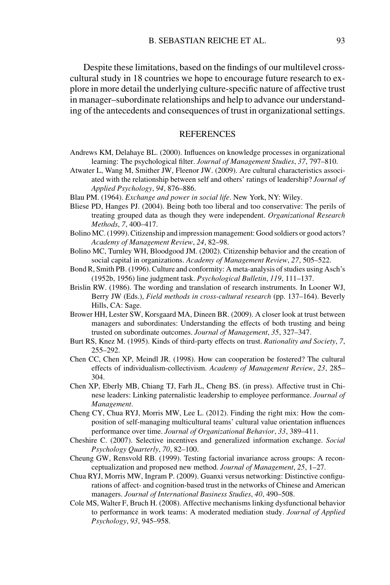Despite these limitations, based on the findings of our multilevel crosscultural study in 18 countries we hope to encourage future research to explore in more detail the underlying culture-specific nature of affective trust in manager–subordinate relationships and help to advance our understanding of the antecedents and consequences of trust in organizational settings.

#### **REFERENCES**

- Andrews KM, Delahaye BL. (2000). Influences on knowledge processes in organizational learning: The psychological filter. *Journal of Management Studies*, *37*, 797–810.
- Atwater L, Wang M, Smither JW, Fleenor JW. (2009). Are cultural characteristics associated with the relationship between self and others' ratings of leadership? *Journal of Applied Psychology*, *94*, 876–886.
- Blau PM. (1964). *Exchange and power in social life*. New York, NY: Wiley.
- Bliese PD, Hanges PJ. (2004). Being both too liberal and too conservative: The perils of treating grouped data as though they were independent. *Organizational Research Methods*, *7*, 400–417.
- Bolino MC. (1999). Citizenship and impression management: Good soldiers or good actors? *Academy of Management Review*, *24*, 82–98.
- Bolino MC, Turnley WH, Bloodgood JM. (2002). Citizenship behavior and the creation of social capital in organizations. *Academy of Management Review*, *27*, 505–522.
- Bond R, Smith PB. (1996). Culture and conformity: A meta-analysis of studies using Asch's (1952b, 1956) line judgment task. *Psychological Bulletin*, *119*, 111–137.
- Brislin RW. (1986). The wording and translation of research instruments. In Looner WJ, Berry JW (Eds.), *Field methods in cross-cultural research* (pp. 137–164). Beverly Hills, CA: Sage.
- Brower HH, Lester SW, Korsgaard MA, Dineen BR. (2009). A closer look at trust between managers and subordinates: Understanding the effects of both trusting and being trusted on subordinate outcomes. *Journal of Management*, *35*, 327–347.
- Burt RS, Knez M. (1995). Kinds of third-party effects on trust. *Rationality and Society*, *7*, 255–292.
- Chen CC, Chen XP, Meindl JR. (1998). How can cooperation be fostered? The cultural effects of individualism-collectivism. *Academy of Management Review*, *23*, 285– 304.
- Chen XP, Eberly MB, Chiang TJ, Farh JL, Cheng BS. (in press). Affective trust in Chinese leaders: Linking paternalistic leadership to employee performance. *Journal of Management*.
- Cheng CY, Chua RYJ, Morris MW, Lee L. (2012). Finding the right mix: How the composition of self-managing multicultural teams' cultural value orientation influences performance over time. *Journal of Organizational Behavior*, *33*, 389–411.
- Cheshire C. (2007). Selective incentives and generalized information exchange. *Social Psychology Quarterly*, *70*, 82–100.
- Cheung GW, Rensvold RB. (1999). Testing factorial invariance across groups: A reconceptualization and proposed new method. *Journal of Management*, *25*, 1–27.
- Chua RYJ, Morris MW, Ingram P. (2009). Guanxi versus networking: Distinctive configurations of affect- and cognition-based trust in the networks of Chinese and American managers. *Journal of International Business Studies*, *40*, 490–508.
- Cole MS, Walter F, Bruch H. (2008). Affective mechanisms linking dysfunctional behavior to performance in work teams: A moderated mediation study. *Journal of Applied Psychology*, *93*, 945–958.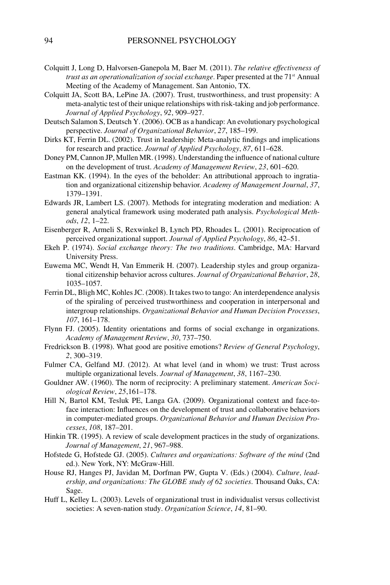- Colquitt J, Long D, Halvorsen-Ganepola M, Baer M. (2011). *The relative effectiveness of trust as an operationalization of social exchange*. Paper presented at the 71<sup>st</sup> Annual Meeting of the Academy of Management. San Antonio, TX.
- Colquitt JA, Scott BA, LePine JA. (2007). Trust, trustworthiness, and trust propensity: A meta-analytic test of their unique relationships with risk-taking and job performance. *Journal of Applied Psychology*, *92*, 909–927.
- Deutsch Salamon S, Deutsch Y. (2006). OCB as a handicap: An evolutionary psychological perspective. *Journal of Organizational Behavior*, *27*, 185–199.
- Dirks KT, Ferrin DL. (2002). Trust in leadership: Meta-analytic findings and implications for research and practice. *Journal of Applied Psychology*, *87*, 611–628.
- Doney PM, Cannon JP, Mullen MR. (1998). Understanding the influence of national culture on the development of trust. *Academy of Management Review*, *23*, 601–620.
- Eastman KK. (1994). In the eyes of the beholder: An attributional approach to ingratiation and organizational citizenship behavior. *Academy of Management Journal*, *37*, 1379–1391.
- Edwards JR, Lambert LS. (2007). Methods for integrating moderation and mediation: A general analytical framework using moderated path analysis. *Psychological Methods*, *12*, 1–22.
- Eisenberger R, Armeli S, Rexwinkel B, Lynch PD, Rhoades L. (2001). Reciprocation of perceived organizational support. *Journal of Applied Psychology*, *86*, 42–51.
- Ekeh P. (1974). *Social exchange theory: The two traditions*. Cambridge, MA: Harvard University Press.
- Euwema MC, Wendt H, Van Emmerik H. (2007). Leadership styles and group organizational citizenship behavior across cultures. *Journal of Organizational Behavior*, *28*, 1035–1057.
- Ferrin DL, Bligh MC, Kohles JC. (2008). It takes two to tango: An interdependence analysis of the spiraling of perceived trustworthiness and cooperation in interpersonal and intergroup relationships. *Organizational Behavior and Human Decision Processes*, *107*, 161–178.
- Flynn FJ. (2005). Identity orientations and forms of social exchange in organizations. *Academy of Management Review*, *30*, 737–750.
- Fredrickson B. (1998). What good are positive emotions? *Review of General Psychology*, *2*, 300–319.
- Fulmer CA, Gelfand MJ. (2012). At what level (and in whom) we trust: Trust across multiple organizational levels. *Journal of Management*, *38*, 1167–230.
- Gouldner AW. (1960). The norm of reciprocity: A preliminary statement. *American Sociological Review*, *25*,161–178.
- Hill N, Bartol KM, Tesluk PE, Langa GA. (2009). Organizational context and face-toface interaction: Influences on the development of trust and collaborative behaviors in computer-mediated groups. *Organizational Behavior and Human Decision Processes*, *108*, 187–201.
- Hinkin TR. (1995). A review of scale development practices in the study of organizations. *Journal of Management*, *21*, 967–988.
- Hofstede G, Hofstede GJ. (2005). *Cultures and organizations: Software of the mind* (2nd ed.). New York, NY: McGraw-Hill.
- House RJ, Hanges PJ, Javidan M, Dorfman PW, Gupta V. (Eds.) (2004). *Culture, leadership, and organizations: The GLOBE study of 62 societies*. Thousand Oaks, CA: Sage.
- Huff L, Kelley L. (2003). Levels of organizational trust in individualist versus collectivist societies: A seven-nation study. *Organization Science*, *14*, 81–90.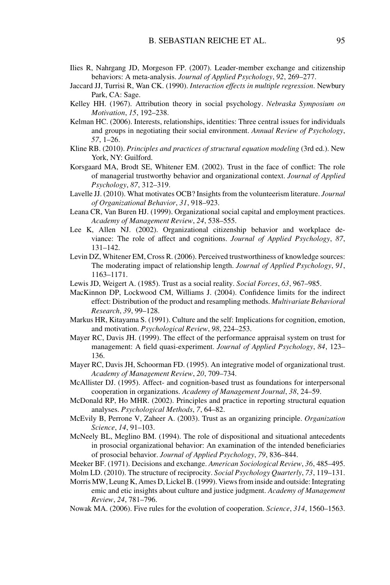- Ilies R, Nahrgang JD, Morgeson FP. (2007). Leader-member exchange and citizenship behaviors: A meta-analysis. *Journal of Applied Psychology*, *92*, 269–277.
- Jaccard JJ, Turrisi R, Wan CK. (1990). *Interaction effects in multiple regression*. Newbury Park, CA: Sage.
- Kelley HH. (1967). Attribution theory in social psychology. *Nebraska Symposium on Motivation*, *15*, 192–238.
- Kelman HC. (2006). Interests, relationships, identities: Three central issues for individuals and groups in negotiating their social environment. *Annual Review of Psychology*, *57*, 1–26.
- Kline RB. (2010). *Principles and practices of structural equation modeling* (3rd ed.). New York, NY: Guilford.
- Korsgaard MA, Brodt SE, Whitener EM. (2002). Trust in the face of conflict: The role of managerial trustworthy behavior and organizational context. *Journal of Applied Psychology*, *87*, 312–319.
- Lavelle JJ. (2010). What motivates OCB? Insights from the volunteerism literature. *Journal of Organizational Behavior*, *31*, 918–923.
- Leana CR, Van Buren HJ. (1999). Organizational social capital and employment practices. *Academy of Management Review*, *24*, 538–555.
- Lee K, Allen NJ. (2002). Organizational citizenship behavior and workplace deviance: The role of affect and cognitions. *Journal of Applied Psychology*, *87*, 131–142.
- Levin DZ, Whitener EM, Cross R. (2006). Perceived trustworthiness of knowledge sources: The moderating impact of relationship length. *Journal of Applied Psychology*, *91*, 1163–1171.
- Lewis JD, Weigert A. (1985). Trust as a social reality. *Social Forces*, *63*, 967–985.
- MacKinnon DP, Lockwood CM, Williams J. (2004). Confidence limits for the indirect effect: Distribution of the product and resampling methods. *Multivariate Behavioral Research*, *39*, 99–128.
- Markus HR, Kitayama S. (1991). Culture and the self: Implications for cognition, emotion, and motivation. *Psychological Review*, *98*, 224–253.
- Mayer RC, Davis JH. (1999). The effect of the performance appraisal system on trust for management: A field quasi-experiment. *Journal of Applied Psychology*, *84*, 123– 136.
- Mayer RC, Davis JH, Schoorman FD. (1995). An integrative model of organizational trust. *Academy of Management Review*, *20*, 709–734.
- McAllister DJ. (1995). Affect- and cognition-based trust as foundations for interpersonal cooperation in organizations. *Academy of Management Journal*, *38*, 24–59.
- McDonald RP, Ho MHR. (2002). Principles and practice in reporting structural equation analyses. *Psychological Methods*, *7*, 64–82.
- McEvily B, Perrone V, Zaheer A. (2003). Trust as an organizing principle. *Organization Science*, *14*, 91–103.
- McNeely BL, Meglino BM. (1994). The role of dispositional and situational antecedents in prosocial organizational behavior: An examination of the intended beneficiaries of prosocial behavior. *Journal of Applied Psychology*, *79*, 836–844.
- Meeker BF. (1971). Decisions and exchange. *American Sociological Review*, *36*, 485–495.

Molm LD. (2010). The structure of reciprocity. *Social Psychology Quarterly*, *73*, 119–131.

- Morris MW, Leung K, Ames D, Lickel B. (1999). Views from inside and outside: Integrating emic and etic insights about culture and justice judgment. *Academy of Management Review*, *24*, 781–796.
- Nowak MA. (2006). Five rules for the evolution of cooperation. *Science*, *314*, 1560–1563.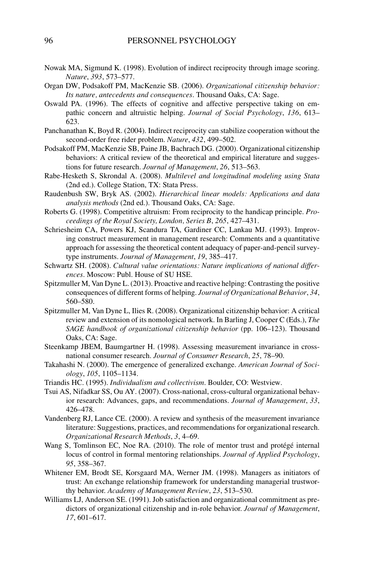- Nowak MA, Sigmund K. (1998). Evolution of indirect reciprocity through image scoring. *Nature*, *393*, 573–577.
- Organ DW, Podsakoff PM, MacKenzie SB. (2006). *Organizational citizenship behavior: Its nature, antecedents and consequences*. Thousand Oaks, CA: Sage.
- Oswald PA. (1996). The effects of cognitive and affective perspective taking on empathic concern and altruistic helping. *Journal of Social Psychology*, *136*, 613– 623.
- Panchanathan K, Boyd R. (2004). Indirect reciprocity can stabilize cooperation without the second-order free rider problem. *Nature*, *432*, 499–502.
- Podsakoff PM, MacKenzie SB, Paine JB, Bachrach DG. (2000). Organizational citizenship behaviors: A critical review of the theoretical and empirical literature and suggestions for future research. *Journal of Management*, *26*, 513–563.
- Rabe-Hesketh S, Skrondal A. (2008). *Multilevel and longitudinal modeling using Stata* (2nd ed.). College Station, TX: Stata Press.
- Raudenbush SW, Bryk AS. (2002). *Hierarchical linear models: Applications and data analysis methods* (2nd ed.). Thousand Oaks, CA: Sage.
- Roberts G. (1998). Competitive altruism: From reciprocity to the handicap principle. *Proceedings of the Royal Society, London, Series B*, *265*, 427–431.
- Schriesheim CA, Powers KJ, Scandura TA, Gardiner CC, Lankau MJ. (1993). Improving construct measurement in management research: Comments and a quantitative approach for assessing the theoretical content adequacy of paper-and-pencil surveytype instruments. *Journal of Management*, *19*, 385–417.
- Schwartz SH. (2008). *Cultural value orientations: Nature implications of national differences*. Moscow: Publ. House of SU HSE.
- Spitzmuller M, Van Dyne L. (2013). Proactive and reactive helping: Contrasting the positive consequences of different forms of helping. *Journal of Organizational Behavior*, *34*, 560–580.
- Spitzmuller M, Van Dyne L, Ilies R. (2008). Organizational citizenship behavior: A critical review and extension of its nomological network. In Barling J, Cooper C (Eds.), *The SAGE handbook of organizational citizenship behavior* (pp. 106–123). Thousand Oaks, CA: Sage.
- Steenkamp JBEM, Baumgartner H. (1998). Assessing measurement invariance in crossnational consumer research. *Journal of Consumer Research*, *25*, 78–90.
- Takahashi N. (2000). The emergence of generalized exchange. *American Journal of Sociology*, *105*, 1105–1134.
- Triandis HC. (1995). *Individualism and collectivism*. Boulder, CO: Westview.
- Tsui AS, Nifadkar SS, Ou AY. (2007). Cross-national, cross-cultural organizational behavior research: Advances, gaps, and recommendations. *Journal of Management*, *33*, 426–478.
- Vandenberg RJ, Lance CE. (2000). A review and synthesis of the measurement invariance literature: Suggestions, practices, and recommendations for organizational research. *Organizational Research Methods*, *3*, 4–69.
- Wang S, Tomlinson EC, Noe RA.  $(2010)$ . The role of mentor trust and protégé internal locus of control in formal mentoring relationships. *Journal of Applied Psychology*, *95*, 358–367.
- Whitener EM, Brodt SE, Korsgaard MA, Werner JM. (1998). Managers as initiators of trust: An exchange relationship framework for understanding managerial trustworthy behavior. *Academy of Management Review*, *23*, 513–530.
- Williams LJ, Anderson SE. (1991). Job satisfaction and organizational commitment as predictors of organizational citizenship and in-role behavior. *Journal of Management*, *17*, 601–617.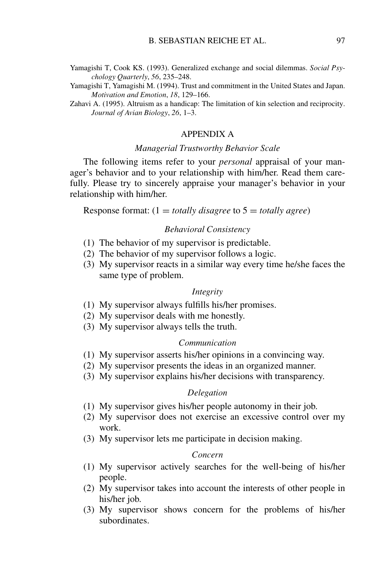- Yamagishi T, Cook KS. (1993). Generalized exchange and social dilemmas. *Social Psychology Quarterly*, *56*, 235–248.
- Yamagishi T, Yamagishi M. (1994). Trust and commitment in the United States and Japan. *Motivation and Emotion*, *18*, 129–166.
- Zahavi A. (1995). Altruism as a handicap: The limitation of kin selection and reciprocity. *Journal of Avian Biology*, *26*, 1–3.

#### APPENDIX A

#### *Managerial Trustworthy Behavior Scale*

The following items refer to your *personal* appraisal of your manager's behavior and to your relationship with him/her. Read them carefully. Please try to sincerely appraise your manager's behavior in your relationship with him/her.

Response format: (1 = *totally disagree* to 5 = *totally agree*)

## *Behavioral Consistency*

- (1) The behavior of my supervisor is predictable.
- (2) The behavior of my supervisor follows a logic.
- (3) My supervisor reacts in a similar way every time he/she faces the same type of problem.

#### *Integrity*

- (1) My supervisor always fulfills his/her promises.
- (2) My supervisor deals with me honestly.
- (3) My supervisor always tells the truth.

#### *Communication*

- (1) My supervisor asserts his/her opinions in a convincing way.
- (2) My supervisor presents the ideas in an organized manner.
- (3) My supervisor explains his/her decisions with transparency.

#### *Delegation*

- (1) My supervisor gives his/her people autonomy in their job.
- (2) My supervisor does not exercise an excessive control over my work.
- (3) My supervisor lets me participate in decision making.

#### *Concern*

- (1) My supervisor actively searches for the well-being of his/her people.
- (2) My supervisor takes into account the interests of other people in his/her job.
- (3) My supervisor shows concern for the problems of his/her subordinates.